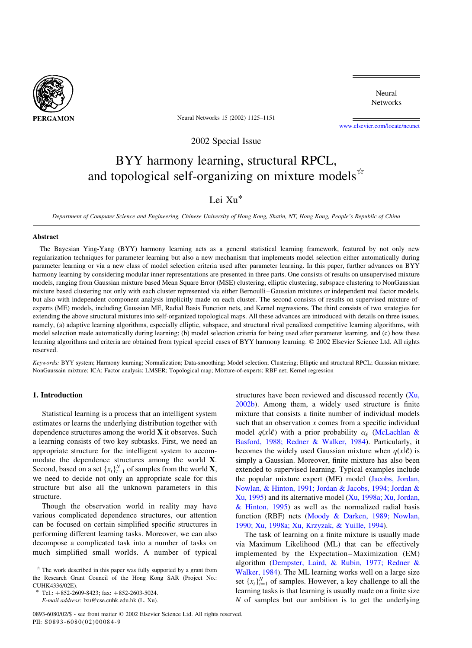

Neural Networks 15 (2002) 1125–1151

Neural **Networks** 

[www.elsevier.com/locate/neunet](http://www.elsevier.com/locate/neunet)

2002 Special Issue

# BYY harmony learning, structural RPCL, and topological self-organizing on mixture models $\mathbb{R}^{\uparrow}$

Lei Xu\*

Department of Computer Science and Engineering, Chinese University of Hong Kong, Shatin, NT, Hong Kong, People's Republic of China

#### Abstract

The Bayesian Ying-Yang (BYY) harmony learning acts as a general statistical learning framework, featured by not only new regularization techniques for parameter learning but also a new mechanism that implements model selection either automatically during parameter learning or via a new class of model selection criteria used after parameter learning. In this paper, further advances on BYY harmony learning by considering modular inner representations are presented in three parts. One consists of results on unsupervised mixture models, ranging from Gaussian mixture based Mean Square Error (MSE) clustering, elliptic clustering, subspace clustering to NonGaussian mixture based clustering not only with each cluster represented via either Bernoulli–Gaussian mixtures or independent real factor models, but also with independent component analysis implicitly made on each cluster. The second consists of results on supervised mixture-ofexperts (ME) models, including Gaussian ME, Radial Basis Function nets, and Kernel regressions. The third consists of two strategies for extending the above structural mixtures into self-organized topological maps. All these advances are introduced with details on three issues, namely, (a) adaptive learning algorithms, especially elliptic, subspace, and structural rival penalized competitive learning algorithms, with model selection made automatically during learning; (b) model selection criteria for being used after parameter learning, and (c) how these learning algorithms and criteria are obtained from typical special cases of BYY harmony learning. © 2002 Elsevier Science Ltd. All rights reserved.

Keywords: BYY system; Harmony learning; Normalization; Data-smoothing; Model selection; Clustering; Elliptic and structural RPCL; Gaussian mixture; NonGaussain mixture; ICA; Factor analysis; LMSER; Topological map; Mixture-of-experts; RBF net; Kernel regression

## 1. Introduction

Statistical learning is a process that an intelligent system estimates or learns the underlying distribution together with dependence structures among the world  $X$  it observes. Such a learning consists of two key subtasks. First, we need an appropriate structure for the intelligent system to accommodate the dependence structures among the world  $X$ . Second, based on a set  $\{x_t\}_{t=1}^N$  of samples from the world **X**, we need to decide not only an appropriate scale for this structure but also all the unknown parameters in this structure.

Though the observation world in reality may have various complicated dependence structures, our attention can be focused on certain simplified specific structures in performing different learning tasks. Moreover, we can also decompose a complicated task into a number of tasks on much simplified small worlds. A number of typical

 $*$  The work described in this paper was fully supported by a grant from the Research Grant Council of the Hong Kong SAR (Project No.: CUHK4336/02E).

Tel.:  $+ 852 - 2609 - 8423$ ; fax:  $+ 852 - 2603 - 5024$ .

E-mail address: lxu@cse.cuhk.edu.hk (L. Xu).

0893-6080/02/\$ - see front matter © 2002 Elsevier Science Ltd. All rights reserved. PII:  $$0893-6080(02)00084-9$ 

structures have been reviewed and discussed recently ([Xu,](#page-26-0) [2002b](#page-26-0)). Among them, a widely used structure is finite mixture that consists a finite number of individual models such that an observation  $x$  comes from a specific individual model  $q(x|\ell)$  with a prior probability  $\alpha_{\ell}$  ([McLachlan &](#page-26-0) [Basford, 1988; Redner & Walker, 1984\)](#page-26-0). Particularly, it becomes the widely used Gaussian mixture when  $q(x|\ell)$  is simply a Gaussian. Moreover, finite mixture has also been extended to supervised learning. Typical examples include the popular mixture expert (ME) model ([Jacobs, Jordan,](#page-26-0) [Nowlan, & Hinton, 1991; Jordan & Jacobs, 1994; Jordan &](#page-26-0) [Xu, 1995](#page-26-0)) and its alternative model [\(Xu, 1998a; Xu, Jordan,](#page-26-0) [& Hinton, 1995](#page-26-0)) as well as the normalized radial basis function (RBF) nets ([Moody & Darken, 1989; Nowlan,](#page-26-0) [1990; Xu, 1998a; Xu, Krzyzak, & Yuille, 1994](#page-26-0)).

The task of learning on a finite mixture is usually made via Maximum Likelihood (ML) that can be effectively implemented by the Expectation–Maximization (EM) algorithm [\(Dempster, Laird, & Rubin, 1977; Redner &](#page-26-0) [Walker, 1984](#page-26-0)). The ML learning works well on a large size set  $\{x_t\}_{t=1}^N$  of samples. However, a key challenge to all the learning tasks is that learning is usually made on a finite size  $N$  of samples but our ambition is to get the underlying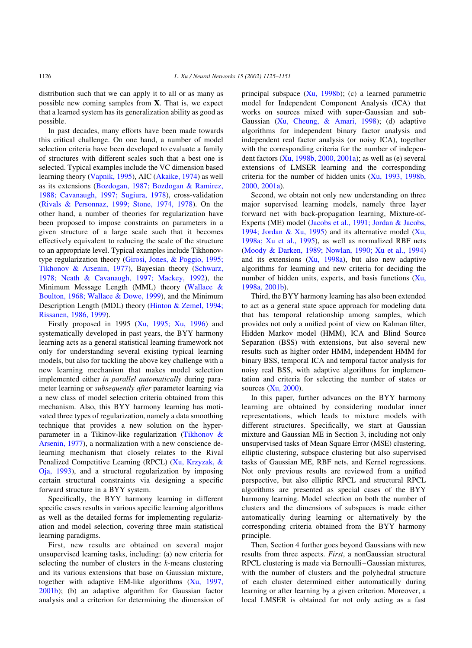distribution such that we can apply it to all or as many as possible new coming samples from  $X$ . That is, we expect that a learned system has its generalization ability as good as possible.

In past decades, many efforts have been made towards this critical challenge. On one hand, a number of model selection criteria have been developed to evaluate a family of structures with different scales such that a best one is selected. Typical examples include the VC dimension based learning theory [\(Vapnik, 1995](#page-26-0)), AIC [\(Akaike, 1974](#page-25-0)) as well as its extensions ([Bozdogan, 1987; Bozdogan & Ramirez,](#page-26-0) [1988; Cavanaugh, 1997; Sugiura, 1978](#page-26-0)), cross-validation ([Rivals & Personnaz, 1999; Stone, 1974, 1978\)](#page-26-0). On the other hand, a number of theories for regularization have been proposed to impose constraints on parameters in a given structure of a large scale such that it becomes effectively equivalent to reducing the scale of the structure to an appropriate level. Typical examples include Tikhonovtype regularization theory ([Girosi, Jones, & Poggio, 1995;](#page-26-0) [Tikhonov & Arsenin, 1977](#page-26-0)), Bayesian theory ([Schwarz,](#page-26-0) [1978; Neath & Cavanaugh, 1997; Mackey, 1992\)](#page-26-0), the Minimum Message Length (MML) theory (Wallace  $\&$ [Boulton, 1968; Wallace & Dowe, 1999\)](#page-26-0), and the Minimum Description Length (MDL) theory ([Hinton & Zemel, 1994;](#page-26-0) [Rissanen, 1986, 1999\)](#page-26-0).

Firstly proposed in 1995 [\(Xu, 1995; Xu, 1996\)](#page-26-0) and systematically developed in past years, the BYY harmony learning acts as a general statistical learning framework not only for understanding several existing typical learning models, but also for tackling the above key challenge with a new learning mechanism that makes model selection implemented either in parallel automatically during parameter learning or subsequently after parameter learning via a new class of model selection criteria obtained from this mechanism. Also, this BYY harmony learning has motivated three types of regularization, namely a data smoothing technique that provides a new solution on the hyperparameter in a Tikinov-like regularization ([Tikhonov &](#page-26-0) [Arsenin, 1977\)](#page-26-0), a normalization with a new conscience delearning mechanism that closely relates to the Rival Penalized Competitive Learning (RPCL) [\(Xu, Krzyzak, &](#page-26-0) [Oja, 1993\)](#page-26-0), and a structural regularization by imposing certain structural constraints via designing a specific forward structure in a BYY system.

Specifically, the BYY harmony learning in different specific cases results in various specific learning algorithms as well as the detailed forms for implementing regularization and model selection, covering three main statistical learning paradigms.

First, new results are obtained on several major unsupervised learning tasks, including: (a) new criteria for selecting the number of clusters in the  $k$ -means clustering and its various extensions that base on Gaussian mixture, together with adaptive EM-like algorithms [\(Xu, 1997,](#page-26-0) [2001b\)](#page-26-0); (b) an adaptive algorithm for Gaussian factor analysis and a criterion for determining the dimension of principal subspace  $(Xu, 1998b)$  $(Xu, 1998b)$ ; (c) a learned parametric model for Independent Component Analysis (ICA) that works on sources mixed with super-Gaussian and sub-Gaussian ([Xu, Cheung, & Amari, 1998\)](#page-26-0); (d) adaptive algorithms for independent binary factor analysis and independent real factor analysis (or noisy ICA), together with the corresponding criteria for the number of independent factors [\(Xu, 1998b, 2000, 2001a\)](#page-26-0); as well as (e) several extensions of LMSER learning and the corresponding criteria for the number of hidden units  $(X<sub>u</sub>, 1993, 1998b,$ [2000, 2001a\)](#page-26-0).

Second, we obtain not only new understanding on three major supervised learning models, namely three layer forward net with back-propagation learning, Mixture-of-Experts (ME) model ([Jacobs et al., 1991; Jordan & Jacobs,](#page-26-0) [1994; Jordan & Xu, 1995\)](#page-26-0) and its alternative model [\(Xu,](#page-26-0) [1998a; Xu et al., 1995\)](#page-26-0), as well as normalized RBF nets ([Moody & Darken, 1989; Nowlan, 1990; Xu et al., 1994](#page-26-0)) and its extensions  $(Xu, 1998a)$ , but also new adaptive algorithms for learning and new criteria for deciding the number of hidden units, experts, and basis functions [\(Xu,](#page-26-0) [1998a, 2001b\)](#page-26-0).

Third, the BYY harmony learning has also been extended to act as a general state space approach for modeling data that has temporal relationship among samples, which provides not only a unified point of view on Kalman filter, Hidden Markov model (HMM), ICA and Blind Source Separation (BSS) with extensions, but also several new results such as higher order HMM, independent HMM for binary BSS, temporal ICA and temporal factor analysis for noisy real BSS, with adaptive algorithms for implementation and criteria for selecting the number of states or sources ([Xu, 2000\)](#page-26-0).

In this paper, further advances on the BYY harmony learning are obtained by considering modular inner representations, which leads to mixture models with different structures. Specifically, we start at Gaussian mixture and Gaussian ME in Section 3, including not only unsupervised tasks of Mean Square Error (MSE) clustering, elliptic clustering, subspace clustering but also supervised tasks of Gaussian ME, RBF nets, and Kernel regressions. Not only previous results are reviewed from a unified perspective, but also elliptic RPCL and structural RPCL algorithms are presented as special cases of the BYY harmony learning. Model selection on both the number of clusters and the dimensions of subspaces is made either automatically during learning or alternatively by the corresponding criteria obtained from the BYY harmony principle.

Then, Section 4 further goes beyond Gaussians with new results from three aspects. First, a nonGaussian structural RPCL clustering is made via Bernoulli–Gaussian mixtures, with the number of clusters and the polyhedral structure of each cluster determined either automatically during learning or after learning by a given criterion. Moreover, a local LMSER is obtained for not only acting as a fast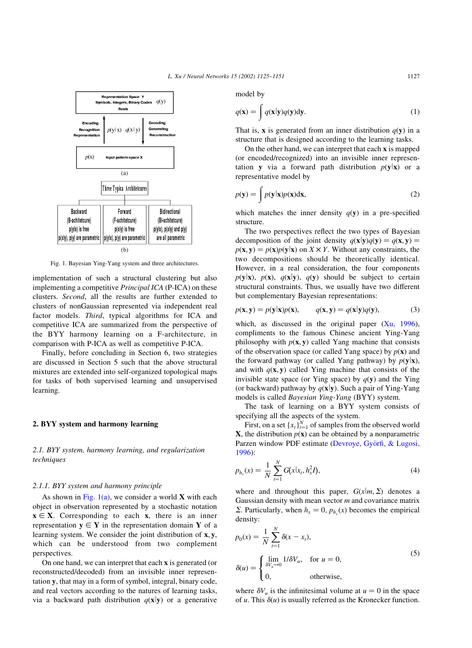<span id="page-2-0"></span>

Fig. 1. Bayesian Ying-Yang system and three architectures.

implementation of such a structural clustering but also implementing a competitive Principal ICA (P-ICA) on these clusters. Second, all the results are further extended to clusters of nonGaussian represented via independent real factor models. Third, typical algorithms for ICA and competitive ICA are summarized from the perspective of the BYY harmony learning on a F-architecture, in comparison with P-ICA as well as competitive P-ICA.

Finally, before concluding in Section 6, two strategies are discussed in Section 5 such that the above structural mixtures are extended into self-organized topological maps for tasks of both supervised learning and unsupervised learning.

### 2. BYY system and harmony learning

2.1. BYY system, harmony learning, and regularization techniques

## 2.1.1. BYY system and harmony principle

As shown in Fig.  $1(a)$ , we consider a world **X** with each object in observation represented by a stochastic notation  $x \in X$ . Corresponding to each x, there is an inner representation  $y \in Y$  in the representation domain Y of a learning system. We consider the joint distribution of  $x, y$ , which can be understood from two complement perspectives.

On one hand, we can interpret that each x is generated (or reconstructed/decoded) from an invisible inner representation y; that may in a form of symbol, integral, binary code, and real vectors according to the natures of learning tasks, via a backward path distribution  $q(\mathbf{x}|\mathbf{y})$  or a generative model by

$$
q(\mathbf{x}) = \int q(\mathbf{x}|\mathbf{y})q(\mathbf{y})\mathrm{d}\mathbf{y}.\tag{1}
$$

That is, x is generated from an inner distribution  $q(y)$  in a structure that is designed according to the learning tasks.

On the other hand, we can interpret that each  $x$  is mapped (or encoded/recognized) into an invisible inner representation y via a forward path distribution  $p(y|x)$  or a representative model by

$$
p(\mathbf{y}) = \int p(\mathbf{y}|\mathbf{x})p(\mathbf{x})d\mathbf{x},\tag{2}
$$

which matches the inner density  $q(y)$  in a pre-specified structure.

The two perspectives reflect the two types of Bayesian decomposition of the joint density  $q(\mathbf{x}|\mathbf{v})q(\mathbf{v}) = q(\mathbf{x}, \mathbf{v}) =$  $p(\mathbf{x}, \mathbf{y}) = p(\mathbf{x})p(\mathbf{y}|\mathbf{x})$  on  $X \times Y$ . Without any constraints, the two decompositions should be theoretically identical. However, in a real consideration, the four components  $p(y|\mathbf{x})$ ,  $p(\mathbf{x})$ ,  $q(\mathbf{x}|\mathbf{y})$ ,  $q(\mathbf{y})$  should be subject to certain structural constraints. Thus, we usually have two different but complementary Bayesian representations:

$$
p(\mathbf{x}, \mathbf{y}) = p(\mathbf{y}|\mathbf{x})p(\mathbf{x}), \qquad q(\mathbf{x}, \mathbf{y}) = q(\mathbf{x}|\mathbf{y})q(\mathbf{y}), \tag{3}
$$

which, as discussed in the original paper [\(Xu, 1996\)](#page-26-0), compliments to the famous Chinese ancient Ying-Yang philosophy with  $p(x, y)$  called Yang machine that consists of the observation space (or called Yang space) by  $p(x)$  and the forward pathway (or called Yang pathway) by  $p(\mathbf{v}|\mathbf{x})$ , and with  $q(x, y)$  called Ying machine that consists of the invisible state space (or Ying space) by  $q(y)$  and the Ying (or backward) pathway by  $q(\mathbf{x}|\mathbf{y})$ . Such a pair of Ying-Yang models is called Bayesian Ying-Yang (BYY) system.

The task of learning on a BYY system consists of specifying all the aspects of the system.

First, on a set  $\{x_t\}_{t=1}^N$  of samples from the observed world **X**, the distribution  $p(x)$  can be obtained by a nonparametric Parzen window PDF estimate (Devroye, Györfi, & Lugosi, [1996](#page-26-0)):

$$
p_{h_x}(x) = \frac{1}{N} \sum_{t=1}^{N} G(x|x_t, h_x^2 I),
$$
\n(4)

where and throughout this paper,  $G(x|m, \Sigma)$  denotes a Gaussian density with mean vector  $m$  and covariance matrix  $\Sigma$ . Particularly, when  $h_x = 0$ ,  $p_{h_x}(x)$  becomes the empirical density:

$$
p_0(x) = \frac{1}{N} \sum_{t=1}^{N} \delta(x - x_t),
$$
  
\n
$$
\delta(u) = \begin{cases} \lim_{\delta V_u \to 0} 1/\delta V_u, & \text{for } u = 0, \\ 0, & \text{otherwise,} \end{cases}
$$
\n(5)

where  $\delta V_u$  is the infinitesimal volume at  $u = 0$  in the space of u. This  $\delta(u)$  is usually referred as the Kronecker function.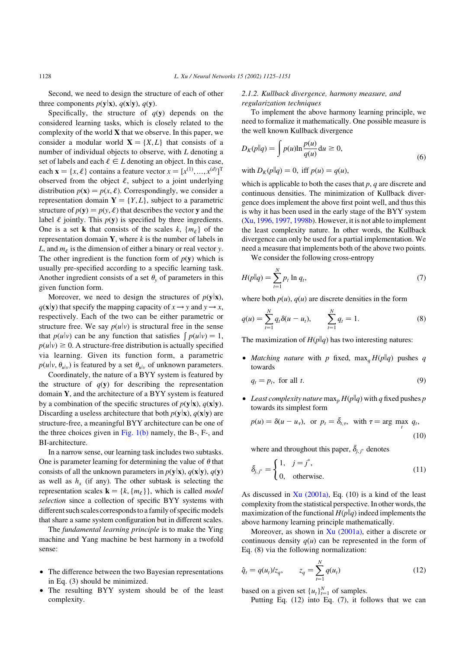Second, we need to design the structure of each of other three components  $p(y|x), q(x|y), q(y)$ .

Specifically, the structure of  $q(y)$  depends on the considered learning tasks, which is closely related to the complexity of the world  $X$  that we observe. In this paper, we consider a modular world  $X = \{X, L\}$  that consists of a number of individual objects to observe, with L denoting a set of labels and each  $\ell \in L$  denoting an object. In this case, each  $\mathbf{x} = \{x, \ell\}$  contains a feature vector  $x = [x^{(1)}, ..., x^{(d)}]^T$ observed from the object  $\ell$ , subject to a joint underlying distribution  $p(\mathbf{x}) = p(x, \ell)$ . Correspondingly, we consider a representation domain  $Y = \{Y, L\}$ , subject to a parametric structure of  $p(y) = p(y, \ell)$  that describes the vector y and the label  $\ell$  jointly. This  $p(y)$  is specified by three ingredients. One is a set **k** that consists of the scales k,  $\{m_\ell\}$  of the representation domain  $Y$ , where k is the number of labels in L, and  $m_\ell$  is the dimension of either a binary or real vector y. The other ingredient is the function form of  $p(y)$  which is usually pre-specified according to a specific learning task. Another ingredient consists of a set  $\theta$ <sub>v</sub> of parameters in this given function form.

Moreover, we need to design the structures of  $p(y|x)$ ,  $q(\mathbf{x}|\mathbf{y})$  that specify the mapping capacity of  $x \to y$  and  $y \to x$ , respectively. Each of the two can be either parametric or structure free. We say  $p(u|v)$  is structural free in the sense that  $p(u|v)$  can be any function that satisfies  $\int p(u|v) = 1$ ,  $p(u|v) \geq 0$ . A structure-free distribution is actually specified via learning. Given its function form, a parametric  $p(u|v, \theta_{u|v})$  is featured by a set  $\theta_{u|v}$  of unknown parameters.

Coordinately, the nature of a BYY system is featured by the structure of  $q(y)$  for describing the representation domain  $Y$ , and the architecture of a BYY system is featured by a combination of the specific structures of  $p(y|x), q(x|y)$ . Discarding a useless architecture that both  $p(y|x)$ ,  $q(x|y)$  are structure-free, a meaningful BYY architecture can be one of the three choices given in Fig.  $1(b)$  namely, the B-, F-, and BI-architecture.

In a narrow sense, our learning task includes two subtasks. One is parameter learning for determining the value of  $\theta$  that consists of all the unknown parameters in  $p(y|x), q(x|y), q(y)$ as well as  $h<sub>x</sub>$  (if any). The other subtask is selecting the representation scales  $\mathbf{k} = \{k, \{m_{\ell}\}\}\$ , which is called *model* selection since a collection of specific BYY systems with different such scales corresponds to a family of specific models that share a same system configuration but in different scales.

The fundamental learning principle is to make the Ying machine and Yang machine be best harmony in a twofold sense:

- The difference between the two Bayesian representations in Eq. (3) should be minimized.
- † The resulting BYY system should be of the least complexity.

2.1.2. Kullback divergence, harmony measure, and regularization techniques

To implement the above harmony learning principle, we need to formalize it mathematically. One possible measure is the well known Kullback divergence

$$
D_K(p||q) = \int p(u) \ln \frac{p(u)}{q(u)} du \ge 0,
$$
\n(6)

with  $D_K(p||q) = 0$ , iff  $p(u) = q(u)$ ,

which is applicable to both the cases that  $p$ ,  $q$  are discrete and continuous densities. The minimization of Kullback divergence does implement the above first point well, and thus this is why it has been used in the early stage of the BYY system ([Xu, 1996, 1997, 1998b](#page-26-0)). However, it is not able to implement the least complexity nature. In other words, the Kullback divergence can only be used for a partial implementation. We need a measure that implements both of the above two points.

We consider the following cross-entropy

$$
H(p||q) = \sum_{t=1}^{N} p_t \ln q_t, \tag{7}
$$

where both  $p(u)$ ,  $q(u)$  are discrete densities in the form

$$
q(u) = \sum_{t=1}^{N} q_t \delta(u - u_t), \qquad \sum_{t=1}^{N} q_t = 1.
$$
 (8)

The maximization of  $H(p||q)$  has two interesting natures:

• Matching nature with p fixed,  $\max_a H(p||q)$  pushes q towards

$$
q_t = p_t, \text{ for all } t. \tag{9}
$$

• Least complexity nature  $\max_p H(p||q)$  with q fixed pushes p towards its simplest form

$$
p(u) = \delta(u - u_{\tau}), \text{ or } p_t = \overline{\delta}_{t,\tau}, \text{ with } \tau = \arg \max_{t} q_t,
$$
\n(10)

where and throughout this paper,  $\bar{\delta}_{j,j^*}$  denotes

$$
\bar{\delta}_{j,j^*} = \begin{cases} 1, & j = j^*, \\ 0, & \text{otherwise.} \end{cases}
$$
 (11)

As discussed in [Xu \(2001a\)](#page-26-0), Eq. (10) is a kind of the least complexity from the statistical perspective. In other words, the maximization of the functional  $H(p||q)$  indeed implements the above harmony learning principle mathematically.

Moreover, as shown in  $Xu$  (2001a), either a discrete or continuous density  $q(u)$  can be represented in the form of Eq. (8) via the following normalization:

$$
\hat{q}_t = q(u_t)/z_q, \qquad z_q = \sum_{t=1}^N q(u_t) \tag{12}
$$

based on a given set  $\{u_t\}_{t=1}^N$  of samples.

Putting Eq. (12) into Eq. (7), it follows that we can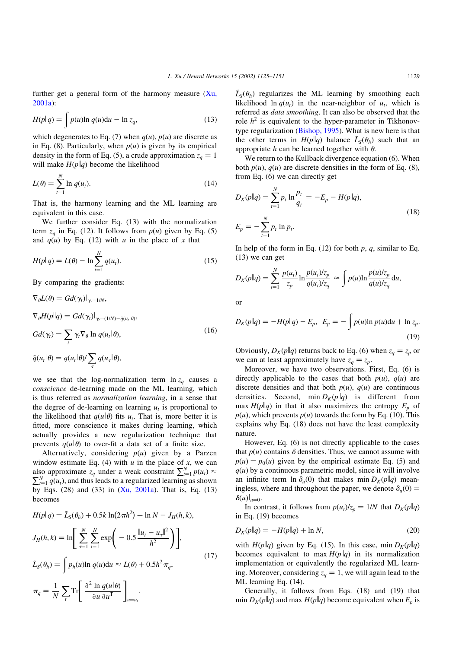further get a general form of the harmony measure  $(Xu)$ , [2001a\)](#page-26-0):

$$
H(p||q) = \int p(u)\ln q(u)du - \ln z_q,
$$
\n(13)

which degenerates to Eq. (7) when  $q(u)$ ,  $p(u)$  are discrete as in Eq. (8). Particularly, when  $p(u)$  is given by its empirical density in the form of Eq. (5), a crude approximation  $z_q = 1$ will make  $H(p||q)$  become the likelihood

$$
L(\theta) = \sum_{t=1}^{N} \ln q(u_t). \tag{14}
$$

That is, the harmony learning and the ML learning are equivalent in this case.

We further consider Eq. (13) with the normalization term  $z_a$  in Eq. (12). It follows from  $p(u)$  given by Eq. (5) and  $q(u)$  by Eq. (12) with u in the place of x that

$$
H(p||q) = L(\theta) - \ln \sum_{t=1}^{N} q(u_t).
$$
 (15)

By comparing the gradients:

$$
\nabla_{\theta}L(\theta) = Gd(\gamma_t)|_{\gamma_t = 1/N},
$$
  
\n
$$
\nabla_{\theta}H(p||q) = Gd(\gamma_t)|_{\gamma_t = (1/N) - \tilde{q}(u_t|\theta)},
$$
  
\n
$$
Gd(\gamma_t) = \sum_t \gamma_t \nabla_{\theta} \ln q(u_t|\theta),
$$
  
\n
$$
\tilde{q}(u_t|\theta) = q(u_t|\theta) / \sum_{\tau} q(u_\tau|\theta),
$$
\n(16)

we see that the log-normalization term  $\ln z_q$  causes a conscience de-learning made on the ML learning, which is thus referred as normalization learning, in a sense that the degree of de-learning on learning  $u_t$  is proportional to the likelihood that  $q(u|\theta)$  fits  $u_t$ . That is, more better it is fitted, more conscience it makes during learning, which actually provides a new regularization technique that prevents  $q(u|\theta)$  to over-fit a data set of a finite size.

Alternatively, considering  $p(u)$  given by a Parzen window estimate Eq. (4) with  $u$  in the place of  $x$ , we can also approximate  $z_q$  under a weak constraint  $\sum_{i=1}^{N} p(u_i) \approx \sum_{i=1}^{N} q(u_i)$  and thus leads to a requirized learning as shown  $\sum_{t=1}^{N} \hat{q}(u_t)$ , and thus leads to a regularized learning as shown by Eqs.  $(28)$  and  $(33)$  in  $(Xu, 2001a)$ . That is, Eq.  $(13)$ becomes

$$
H(p||q) = \tilde{L}_S(\theta_h) + 0.5k \ln(2\pi h^2) + \ln N - J_H(h, k),
$$
  
\n
$$
J_H(h, k) = \ln \left[ \sum_{\tau=1}^N \sum_{t=1}^N \exp \left( -0.5 \frac{||u_t - u_\tau||^2}{h^2} \right) \right],
$$
  
\n
$$
\tilde{L}_S(\theta_h) = \int p_h(u) \ln q(u) du \approx L(\theta) + 0.5h^2 \pi_q,
$$
  
\n
$$
\pi_q = \frac{1}{N} \sum_t \text{Tr} \left[ \frac{\partial^2 \ln q(u|\theta)}{\partial u \partial u^T} \right]_{u=u_t}.
$$
\n(17)

 $\tilde{L}_S(\theta_h)$  regularizes the ML learning by smoothing each likelihood ln  $q(u_t)$  in the near-neighbor of  $u_t$ , which is referred as data smoothing. It can also be observed that the role  $h^2$  is equivalent to the hyper-parameter in Tikhonovtype regularization ([Bishop, 1995\)](#page-25-0). What is new here is that the other terms in  $H(p||q)$  balance  $\tilde{L}_{S}(\theta_{h})$  such that an appropriate h can be learned together with  $\theta$ .

We return to the Kullback divergence equation (6). When both  $p(u)$ ,  $q(u)$  are discrete densities in the form of Eq. (8), from Eq. (6) we can directly get

$$
D_K(p||q) = \sum_{t=1}^{N} p_t \ln \frac{p_t}{q_t} = -E_p - H(p||q),
$$
  
\n
$$
E_p = -\sum_{t=1}^{N} p_t \ln p_t.
$$
\n(18)

In help of the form in Eq. (12) for both  $p$ ,  $q$ , similar to Eq. (13) we can get

$$
D_K(p||q) = \sum_{t=1}^N \frac{p(u_t)}{z_p} \ln \frac{p(u_t)/z_p}{q(u_t)/z_q} \approx \int p(u) \ln \frac{p(u)/z_p}{q(u)/z_q} du,
$$

or

$$
D_K(p||q) = -H(p||q) - E_p, \ E_p = -\int p(u)\ln p(u)du + \ln z_p.
$$
\n(19)

Obviously,  $D_K(p||q)$  returns back to Eq. (6) when  $z_q = z_p$  or we can at least approximately have  $z_q = z_p$ .

Moreover, we have two observations. First, Eq. (6) is directly applicable to the cases that both  $p(u)$ ,  $q(u)$  are discrete densities and that both  $p(u)$ ,  $q(u)$  are continuous densities. Second, min  $D_K(p||q)$  is different from max  $H(p||q)$  in that it also maximizes the entropy  $E_p$  of  $p(u)$ , which prevents  $p(u)$  towards the form by Eq. (10). This explains why Eq. (18) does not have the least complexity nature.

However, Eq. (6) is not directly applicable to the cases that  $p(u)$  contains  $\delta$  densities. Thus, we cannot assume with  $p(u) = p_0(u)$  given by the empirical estimate Eq. (5) and  $q(u)$  by a continuous parametric model, since it will involve an infinite term ln  $\delta_u(0)$  that makes min  $D_K(p||q)$  meaningless, where and throughout the paper, we denote  $\delta_u(0) =$  $\delta(u)|_{u=0}.$ 

In contrast, it follows from  $p(u_t)/z_p = 1/N$  that  $D_K(p||q)$ in Eq. (19) becomes

$$
D_K(p||q) = -H(p||q) + \ln N,\tag{20}
$$

with  $H(p||q)$  given by Eq. (15). In this case, min  $D_K(p||q)$ becomes equivalent to max  $H(p||q)$  in its normalization implementation or equivalently the regularized ML learning. Moreover, considering  $z_q = 1$ , we will again lead to the ML learning Eq. (14).

Generally, it follows from Eqs. (18) and (19) that min  $D_K(p||q)$  and max  $H(p||q)$  become equivalent when  $E_p$  is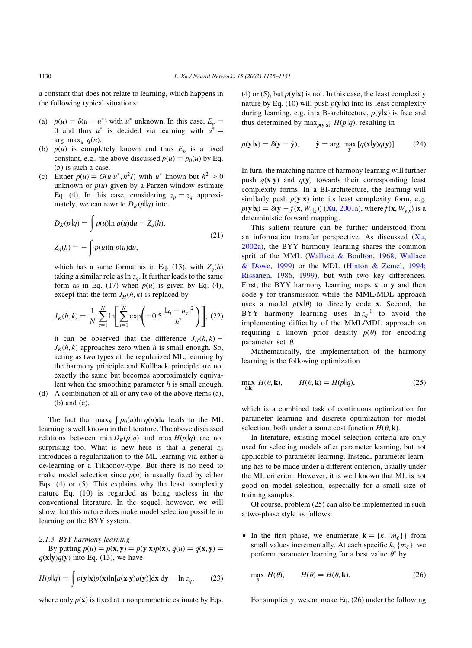a constant that does not relate to learning, which happens in the following typical situations:

- (a)  $p(u) = \delta(u u^*)$  with u<sup>\*</sup> unknown. In this case,  $E_p$  = 0 and thus  $u^*$  is decided via learning with  $u^* =$ arg max<sub>u</sub>  $q(u)$ .
- (b)  $p(u)$  is completely known and thus  $E_p$  is a fixed constant, e.g., the above discussed  $p(u) = p_0(u)$  by Eq. (5) is such a case.
- (c) Either  $p(u) = G(u|u^*, h^2I)$  with  $u^*$  known but  $h^2 > 0$ unknown or  $p(u)$  given by a Parzen window estimate Eq. (4). In this case, considering  $z_p = z_q$  approximately, we can rewrite  $D_K(p||q)$  into

$$
D_K(p||q) = \int p(u)\ln q(u)du - Z_q(h),
$$
  
\n
$$
Z_q(h) = -\int p(u)\ln p(u)du,
$$
\n(21)

which has a same format as in Eq. (13), with  $Z_a(h)$ taking a similar role as  $\ln z_q$ . It further leads to the same form as in Eq. (17) when  $p(u)$  is given by Eq. (4), except that the term  $J_H(h, k)$  is replaced by

$$
J_K(h,k) = \frac{1}{N} \sum_{\tau=1}^{N} \ln \left[ \sum_{t=1}^{N} \exp \left( -0.5 \frac{\|u_t - u_\tau\|^2}{h^2} \right) \right], (22)
$$

it can be observed that the difference  $J_H(h, k)$  –  $J_K(h, k)$  approaches zero when h is small enough. So, acting as two types of the regularized ML, learning by the harmony principle and Kullback principle are not exactly the same but becomes approximately equivalent when the smoothing parameter  $h$  is small enough.

(d) A combination of all or any two of the above items (a), (b) and (c).

The fact that  $\max_{\theta} \int p_0(u) \ln q(u) du$  leads to the ML learning is well known in the literature. The above discussed relations between min  $D_K(p||q)$  and max  $H(p||q)$  are not surprising too. What is new here is that a general  $z_q$ introduces a regularization to the ML learning via either a de-learning or a Tikhonov-type. But there is no need to make model selection since  $p(u)$  is usually fixed by either Eqs. (4) or (5). This explains why the least complexity nature Eq. (10) is regarded as being useless in the conventional literature. In the sequel, however, we will show that this nature does make model selection possible in learning on the BYY system.

2.1.3. BYY harmony learning

By putting  $p(u) = p(\mathbf{x}, \mathbf{y}) = p(\mathbf{y}|\mathbf{x})p(\mathbf{x}), q(u) = q(\mathbf{x}, \mathbf{y}) =$  $q(\mathbf{x}|\mathbf{y})q(\mathbf{y})$  into Eq. (13), we have

$$
H(p||q) = \int p(\mathbf{y}|\mathbf{x})p(\mathbf{x})\ln[q(\mathbf{x}|\mathbf{y})q(\mathbf{y})]d\mathbf{x} d\mathbf{y} - \ln z_q,
$$
 (23)

where only  $p(x)$  is fixed at a nonparametric estimate by Eqs.

(4) or (5), but  $p(y|x)$  is not. In this case, the least complexity nature by Eq. (10) will push  $p(y|x)$  into its least complexity during learning, e.g. in a B-architecture,  $p(y|x)$  is free and thus determined by max<sub>p(y|x)</sub>  $H(p||q)$ , resulting in

$$
p(\mathbf{y}|\mathbf{x}) = \delta(\mathbf{y} - \hat{\mathbf{y}}), \qquad \hat{\mathbf{y}} = \arg \max_{\mathbf{y}} [q(\mathbf{x}|\mathbf{y})q(\mathbf{y})] \tag{24}
$$

In turn, the matching nature of harmony learning will further push  $q(\mathbf{x}|\mathbf{y})$  and  $q(\mathbf{y})$  towards their corresponding least complexity forms. In a BI-architecture, the learning will similarly push  $p(y|x)$  into its least complexity form, e.g.  $p(\mathbf{y}|\mathbf{x}) = \delta(\mathbf{y} - f(\mathbf{x}, W_{\nu|x}))$  [\(Xu, 2001a\)](#page-26-0), where  $f(\mathbf{x}, W_{\nu|x})$  is a deterministic forward mapping.

This salient feature can be further understood from an information transfer perspective. As discussed  $(Xu)$ , [2002a\)](#page-26-0), the BYY harmony learning shares the common sprit of the MML ([Wallace & Boulton, 1968; Wallace](#page-26-0)  $&$  Dowe, 1999) or the MDL (Hinton  $&$  Zemel, 1994; [Rissanen, 1986, 1999](#page-26-0)), but with two key differences. First, the BYY harmony learning maps  $x$  to  $y$  and then code y for transmission while the MML/MDL approach uses a model  $p(x|\theta)$  to directly code x. Second, the BYY harmony learning uses  $\ln z_q^{-1}$  to avoid the implementing difficulty of the MML/MDL approach on requiring a known prior density  $p(\theta)$  for encoding parameter set  $\theta$ .

Mathematically, the implementation of the harmony learning is the following optimization

$$
\max_{\theta, \mathbf{k}} H(\theta, \mathbf{k}), \qquad H(\theta, \mathbf{k}) = H(p||q), \tag{25}
$$

which is a combined task of continuous optimization for parameter learning and discrete optimization for model selection, both under a same cost function  $H(\theta, \mathbf{k})$ .

In literature, existing model selection criteria are only used for selecting models after parameter learning, but not applicable to parameter learning. Instead, parameter learning has to be made under a different criterion, usually under the ML criterion. However, it is well known that ML is not good on model selection, especially for a small size of training samples.

Of course, problem (25) can also be implemented in such a two-phase style as follows:

• In the first phase, we enumerate  $\mathbf{k} = \{k, \{m_{\ell}\}\}\$  from small values incrementally. At each specific k,  $\{m_{\ell}\}\$ , we perform parameter learning for a best value  $\theta^*$  by

$$
\max_{\theta} H(\theta), \qquad H(\theta) = H(\theta, \mathbf{k}). \tag{26}
$$

For simplicity, we can make Eq. (26) under the following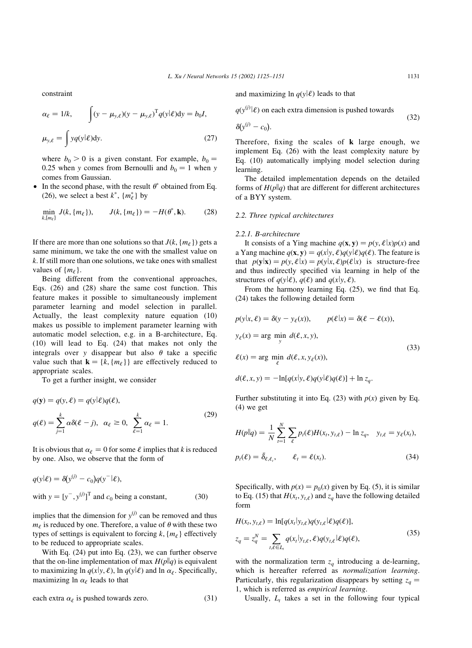constraint

$$
\alpha_{\ell} = 1/k, \qquad \int (y - \mu_{y,\ell})(y - \mu_{y,\ell})^{\mathrm{T}} q(y|\ell) dy = b_0 I,
$$
  

$$
\mu_{y,\ell} = \int yq(y|\ell) dy.
$$
 (27)

where  $b_0 > 0$  is a given constant. For example,  $b_0 =$ 0.25 when y comes from Bernoulli and  $b_0 = 1$  when y comes from Gaussian.

In the second phase, with the result  $\theta^*$  obtained from Eq. (26), we select a best  $k^*$ ,  $\{m^*_{\ell}\}\$  by

$$
\min_{k, \{m_{\ell}\}} J(k, \{m_{\ell}\}), \qquad J(k, \{m_{\ell}\}) = -H(\theta^*, \mathbf{k}). \tag{28}
$$

If there are more than one solutions so that  $J(k, \{m_\ell\})$  gets a same minimum, we take the one with the smallest value on k. If still more than one solutions, we take ones with smallest values of  $\{m_{\ell}\}\$ .

Being different from the conventional approaches, Eqs. (26) and (28) share the same cost function. This feature makes it possible to simultaneously implement parameter learning and model selection in parallel. Actually, the least complexity nature equation (10) makes us possible to implement parameter learning with automatic model selection, e.g. in a B-architecture, Eq. (10) will lead to Eq. (24) that makes not only the integrals over y disappear but also  $\theta$  take a specific value such that  $\mathbf{k} = \{k, \{m_{\ell}\}\}\$ are effectively reduced to appropriate scales.

To get a further insight, we consider

$$
q(\mathbf{y}) = q(\mathbf{y}, \ell) = q(\mathbf{y}|\ell)q(\ell),
$$
  
\n
$$
q(\ell) = \sum_{j=1}^{k} \alpha \delta(\ell - j), \ \alpha_{\ell} \ge 0, \ \sum_{\ell=1}^{k} \alpha_{\ell} = 1.
$$
\n(29)

It is obvious that  $\alpha_{\ell} = 0$  for some  $\ell$  implies that k is reduced by one. Also, we observe that the form of

$$
q(y|\ell) = \delta(y^{(j)} - c_0)q(y^{-}|\ell),
$$
  
with  $y = [y^-, y^{(j)}]^T$  and  $c_0$  being a constant, (30)

implies that the dimension for  $y^{(j)}$  can be removed and thus  $m_{\ell}$  is reduced by one. Therefore, a value of  $\theta$  with these two types of settings is equivalent to forcing  $k$ ,  $\{m_\ell\}$  effectively to be reduced to appropriate scales.

With Eq. (24) put into Eq. (23), we can further observe that the on-line implementation of max  $H(p||q)$  is equivalent to maximizing ln  $q(x|y, \ell)$ , ln  $q(y|\ell)$  and ln  $\alpha_{\ell}$ . Specifically, maximizing ln  $\alpha_{\ell}$  leads to that

each extra  $\alpha_{\ell}$  is pushed towards zero. (31)

and maximizing ln  $q(y|\ell)$  leads to that

 $q(y^{(j)}|\ell)$  on each extra dimension is pushed towards

$$
\delta(y^{(j)} - c_0). \tag{32}
$$

Therefore, fixing the scales of  $k$  large enough, we implement Eq. (26) with the least complexity nature by Eq. (10) automatically implying model selection during learning.

The detailed implementation depends on the detailed forms of  $H(p||q)$  that are different for different architectures of a BYY system.

#### 2.2. Three typical architectures

## 2.2.1. B-architecture

It consists of a Ying machine  $q(\mathbf{x}, \mathbf{y}) = p(y, \ell | x) p(x)$  and a Yang machine  $q(\mathbf{x}, \mathbf{v}) = q(x|\mathbf{v}, \ell)q(\mathbf{v}|\ell)q(\ell)$ . The feature is that  $p(\mathbf{y}|\mathbf{x}) = p(y, \ell|x) = p(\mathbf{y}|x, \ell)p(\ell|x)$  is structure-free and thus indirectly specified via learning in help of the structures of  $q(y|\ell)$ ,  $q(\ell)$  and  $q(x|y, \ell)$ .

From the harmony learning Eq. (25), we find that Eq. (24) takes the following detailed form

$$
p(y|x, \ell) = \delta(y - y_{\ell}(x)), \qquad p(\ell|x) = \delta(\ell - \ell(x)),
$$
  
\n
$$
y_{\ell}(x) = \arg \min_{y} d(\ell, x, y),
$$
  
\n
$$
\ell(x) = \arg \min_{\ell} d(\ell, x, y_{\ell}(x)),
$$
\n(33)

$$
d(\ell, x, y) = -\ln[q(x|y, \ell)q(y|\ell)q(\ell)] + \ln z_q.
$$

Further substituting it into Eq. (23) with  $p(x)$  given by Eq. (4) we get

$$
H(p||q) = \frac{1}{N} \sum_{t=1}^{N} \sum_{\ell} p_t(\ell) H(x_t, y_{t,\ell}) - \ln z_q, \quad y_{t,\ell} = y_{\ell}(x_t),
$$
  

$$
p_t(\ell) = \bar{\delta}_{\ell,\ell,t}, \qquad \ell_t = \ell(x_t). \tag{34}
$$

Specifically, with  $p(x) = p_0(x)$  given by Eq. (5), it is similar to Eq. (15) that  $H(x_t, y_{t,\ell})$  and  $z_q$  have the following detailed form

$$
H(x_t, y_{t,\ell}) = \ln[q(x_t|y_{t,\ell})q(y_{t,\ell}|\ell)q(\ell)],
$$
  
\n
$$
z_q = z_q^N = \sum_{t,\ell \in L_t} q(x_t|y_{t,\ell}, \ell)q(y_{t,\ell}|\ell)q(\ell),
$$
\n(35)

with the normalization term  $z_q$  introducing a de-learning, which is hereafter referred as normalization learning. Particularly, this regularization disappears by setting  $z_a =$ 1; which is referred as empirical learning.

Usually,  $L_t$  takes a set in the following four typical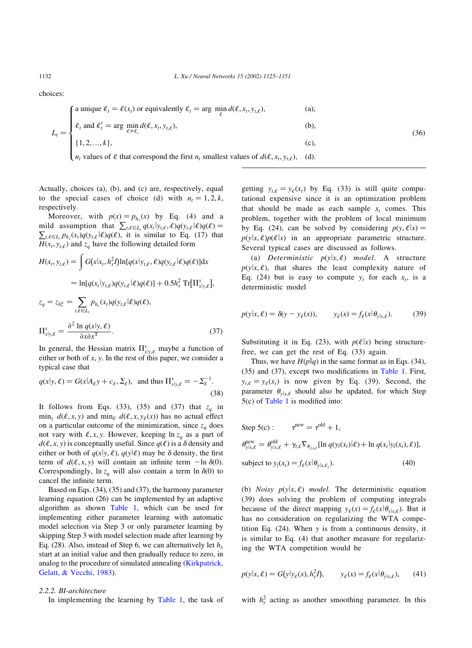choices:

$$
\int \mathbf{a} \text{ unique } \ell_t = \ell(x_t) \text{ or equivalently } \ell_t = \arg \min_{\ell} d(\ell, x_t, y_{t,\ell}), \tag{a},
$$

a unique 
$$
\ell_t = \ell(x_t)
$$
 or equivalently  $\ell_t = \arg \min_{\ell} a(\ell, x_t, y_{t,\ell})$ , (a),  

$$
\ell_t \text{ and } \ell_t^r = \arg \min_{\ell \neq \ell} d(\ell, x_t, y_{t,\ell})
$$
, (b),

$$
L_t = \begin{cases} \n\{1, 2, ..., k\}, & (c), \\
n_t \text{ values of } \ell \text{ that correspond the first } n_t \text{ smallest values of } d(\ell, x_t, y_{t,\ell}), & (d). \n\end{cases}
$$

Actually, choices (a), (b), and (c) are, respectively, equal to the special cases of choice (d) with  $n_t = 1, 2, k$ ; respectively.

Moreover, with  $p(x) = p_{h_x}(x)$  by Eq. (4) and a mild assumption that  $\sum_{t,\ell \in L_t} q(x_t|y_{t,\ell}, \ell)q(y_{t,\ell}|\ell)q(\ell) =$  $\sum_{t,\ell \in L_t} p_{h_x}(x_t) q(y_{t,\ell} | \ell) q(\ell)$ , it is similar to Eq. (17) that  $H(x_t, y_{t,\ell})$  and  $z_q$  have the following detailed form

$$
H(x_t, y_{t,\ell}) = \int G(x|x_t, h_x^2 I) \ln[q(x|y_{t,\ell}, \ell)q(y_{t,\ell}|\ell)q(\ell)]dx
$$
  
\n
$$
\approx \ln[q(x_t|y_{t,\ell})q(y_{t,\ell}|\ell)q(\ell)] + 0.5h_x^2 \operatorname{Tr}[\Pi_{x|y,\ell}^x],
$$
  
\n
$$
z_q = z_{h_x^N} = \sum_{t,\ell \in L_t} p_{h_x}(x_t)q(y_{t,\ell}|\ell)q(\ell),
$$
  
\n
$$
\Pi_{x|y,\ell}^x = \frac{\partial^2 \ln q(x|y,\ell)}{\partial x \partial x^T}.
$$
\n(37)

In general, the Hessian matrix  $\Pi_{x|y,\ell}^x$  maybe a function of either or both of  $x$ ,  $y$ . In the rest of this paper, we consider a typical case that

$$
q(x|y,\ell) = G(x|A_{\ell}y + c_{\ell}, \Sigma_{\ell}), \text{ and thus } \Pi_{x|y,\ell}^{x} = -\Sigma_{\ell}^{-1}.
$$
\n(38)

It follows from Eqs. (33), (35) and (37) that  $z_q$  in min<sub>v</sub>  $d(\ell, x, y)$  and min<sub>e</sub>  $d(\ell, x, y_{\ell}(x))$  has no actual effect on a particular outcome of the minimization, since  $z_a$  does not vary with  $\ell$ , x, y. However, keeping ln  $z_a$  as a part of  $d(\ell, x, y)$  is conceptually useful. Since  $q(\ell)$  is a  $\delta$  density and either or both of  $q(x|y, \ell)$ ,  $q(y|\ell)$  may be  $\delta$  density, the first term of  $d(\ell, x, y)$  will contain an infinite term  $-\ln \delta(0)$ . Correspondingly, ln  $z_q$  will also contain a term ln  $\delta(0)$  to cancel the infinite term.

Based on Eqs. (34), (35) and (37), the harmony parameter learning equation (26) can be implemented by an adaptive algorithm as shown [Table 1,](#page-8-0) which can be used for implementing either parameter learning with automatic model selection via Step 3 or only parameter learning by skipping Step 3 with model selection made after learning by Eq. (28). Also, instead of Step 6, we can alternatively let  $h<sub>x</sub>$ start at an initial value and then gradually reduce to zero, in analog to the procedure of simulated annealing [\(Kirkpatrick,](#page-26-0) [Gelatt, & Vecchi, 1983](#page-26-0)).

#### 2.2.2. BI-architecture

In implementing the learning by [Table 1](#page-8-0), the task of

getting  $y_{t,\ell} = y_{\ell}(x_t)$  by Eq. (33) is still quite computational expensive since it is an optimization problem that should be made as each sample  $x_t$  comes. This problem, together with the problem of local minimum by Eq. (24), can be solved by considering  $p(y, \ell|x) =$  $p(y|x,\ell)p(\ell|x)$  in an appropriate parametric structure. Several typical cases are discussed as follows.

 $(36)$ 

(a) Deterministic  $p(y|x, \ell)$  model. A structure  $p(y|x, \ell)$ , that shares the least complexity nature of Eq. (24) but is easy to compute  $y_t$  for each  $x_t$ , is a deterministic model

$$
p(y|x,\ell) = \delta(y - y_{\ell}(x)), \qquad y_{\ell}(x) = f_{\ell}(x|\theta_{y|x,\ell}). \tag{39}
$$

Substituting it in Eq. (23), with  $p(\ell|x)$  being structurefree, we can get the rest of Eq. (33) again.

Thus, we have  $H(p||q)$  in the same format as in Eqs. (34), (35) and (37), except two modifications in [Table 1.](#page-8-0) First,  $y_{t,\ell} = y_{\ell}(x_t)$  is now given by Eq. (39). Second, the parameter  $\theta_{\text{v}|x,\ell}$  should also be updated, for which Step 5(c) of [Table 1](#page-8-0) is modified into:

Step 5(c): 
$$
\tau^{\text{new}} = \tau^{\text{old}} + 1,
$$
  
\n
$$
\theta_{y|x,\ell}^{\text{new}} = \theta_{y|x,\ell}^{\text{old}} + \gamma_{t,\ell} \nabla_{\theta_{y|x,\ell}} [\ln q(y_l(x_l)|\ell) + \ln q(x_t|y_l(x_l), \ell)],
$$
  
\nsubject to  $y_l(x_t) = f_\ell(x|\theta_{y|x,\ell_t}).$  (40)

(b) Noisy  $p(y|x, \ell)$  model. The deterministic equation (39) does solving the problem of computing integrals because of the direct mapping  $y_{\ell}(x) = f_{\ell}(x|\theta_{\nu|x,\ell})$ . But it has no consideration on regularizing the WTA competition Eq. (24). When y is from a continuous density, it is similar to Eq. (4) that another measure for regularizing the WTA competition would be

$$
p(y|x, \ell) = G(y|y_{\ell}(x), h_y^2 I), \qquad y_{\ell}(x) = f_{\ell}(x|\theta_{y|x, \ell}),
$$
 (41)

with  $h_y^2$  acting as another smoothing parameter. In this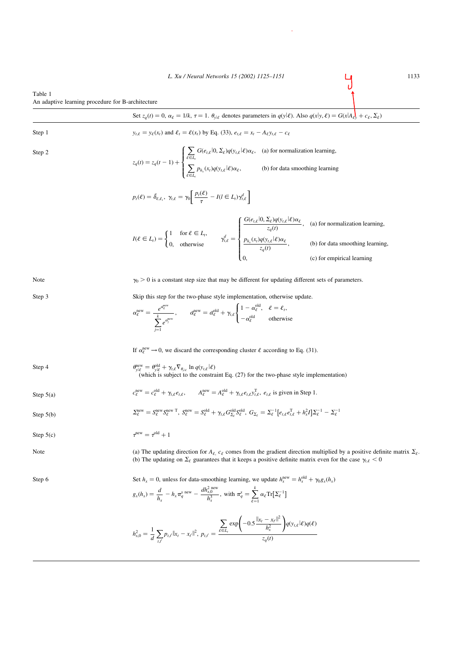L. Xu / Neural Networks 15 (2002) 1125–1151 1133

l,

# <span id="page-8-0"></span>Table 1 An adaptive learning procedure for B-architecture

|             | Set $z_q(t) = 0$ , $\alpha_\ell = 1/k$ , $\tau = 1$ . $\theta_{y \ell}$ denotes parameters in $q(y \ell)$ . Also $q(x y, \ell) = G(x A_{\ell y} + c_{\ell}, \Sigma_{\ell})$                                                                                                                                                                                                                                                         |  |  |  |
|-------------|-------------------------------------------------------------------------------------------------------------------------------------------------------------------------------------------------------------------------------------------------------------------------------------------------------------------------------------------------------------------------------------------------------------------------------------|--|--|--|
| Step 1      | $y_{t,\ell} = y_{\ell}(x_t)$ and $\ell_t = \ell(x_t)$ by Eq. (33), $e_{t,\ell} = x_t - A_{\ell}y_{t,\ell} - c_{\ell}$                                                                                                                                                                                                                                                                                                               |  |  |  |
| Step 2      | $z_q(t) = z_q(t-1) + \begin{cases} \sum_{\ell \in L_t} G(e_{t,\ell}   0, \Sigma_{\ell}) q(y_{t,\ell}   \ell) \alpha_{\ell}, & \text{(a) for normalization learning,} \\ \sum_{\ell \in L_t} p_{h_x}(x_t) q(y_{t,\ell}   \ell) \alpha_{\ell}, & \text{(b) for data smoothing learning} \end{cases}$                                                                                                                                  |  |  |  |
|             | $p_t(\ell) = \bar{\delta}_{\ell,\ell_i}, \ \gamma_{t,\ell} = \gamma_0 \frac{p_t(\ell)}{\tau} - I(l \in L_i) \gamma_{t,\ell}^d$                                                                                                                                                                                                                                                                                                      |  |  |  |
|             | $I(\ell \in L_t) = \begin{cases} 1 & \text{for } \ell \in L_t, \\ 0, & \text{otherwise} \end{cases} \qquad \gamma_{t,\ell}^d = \begin{cases} \frac{G(e_{t,\ell} 0,\Sigma_{\ell})q(y_{t,\ell} \ell)\alpha_{\ell}}{z_q(t)}, & \text{(a) for normalization learning,} \\ \frac{p_{h_x}(x_t)q(y_{t,\ell} \ell)\alpha_{\ell}}{z_q(t)}, & \text{(b) for data smoothing learning,} \\ 0, & \text{(c) for empirical learning,} \end{cases}$ |  |  |  |
| Note        | $\gamma_0 > 0$ is a constant step size that may be different for updating different sets of parameters.                                                                                                                                                                                                                                                                                                                             |  |  |  |
| Step 3      | Skip this step for the two-phase style implementation, otherwise update.<br>$\alpha_{\ell}^{\text{new}} = \frac{e^{a_{\ell}^{\text{new}}}}{\sum_{\ell} e^{a_{\ell}^{\text{new}}}}, \qquad \tilde{\alpha}_{\ell}^{\text{new}} = \tilde{\alpha}_{\ell}^{\text{old}} + \gamma_{\ell,\ell} \begin{cases} 1 - \alpha_{\ell}^{\text{old}}, & \ell = \ell_{\ell}, \\ -\alpha_{\ell}^{\text{old}} & \text{otherwise} \end{cases}$           |  |  |  |
|             | If $\alpha_{\ell}^{\text{new}} \to 0$ , we discard the corresponding cluster $\ell$ according to Eq. (31).                                                                                                                                                                                                                                                                                                                          |  |  |  |
| Step 4      | $\theta_{y \ell}^{\text{new}} = \theta_{y \ell}^{\text{old}} + \gamma_{t,\ell} \nabla_{\theta_{y \ell}} \ln q(y_{t,\ell} \ell)$<br>(which is subject to the constraint Eq. (27) for the two-phase style implementation)                                                                                                                                                                                                             |  |  |  |
| Step $5(a)$ | $c_{\ell}^{\text{new}} = c_{\ell}^{\text{old}} + \gamma_{t,\ell} e_{t,\ell}, \qquad A_{\ell}^{\text{new}} = A_{\ell}^{\text{old}} + \gamma_{t,\ell} e_{t,\ell} y_{t,\ell}^{\text{T}}, e_{t,\ell}$ is given in Step 1.                                                                                                                                                                                                               |  |  |  |
| Step $5(b)$ | $\Sigma_{\ell}^{\text{new}} = S_{\ell}^{\text{new}} S_{\ell}^{\text{new T}}, S_{\ell}^{\text{new}} = S_{\ell}^{\text{old}} + \gamma_{\ell,\ell} G_{\Sigma_{\ell}}^{\text{old}} S_{\ell}^{\text{old}}, G_{\Sigma_{\ell}} = \Sigma_{\ell}^{-1} [e_{\ell,\ell} e_{\ell,\ell}^{T} + h_{x}^{2} I] \Sigma_{\ell}^{-1} - \Sigma_{\ell}^{-1}$                                                                                               |  |  |  |
| Step $5(c)$ | $\tau^{\text{new}} = \tau^{\text{old}} + 1$                                                                                                                                                                                                                                                                                                                                                                                         |  |  |  |
| Note        | (a) The updating direction for $A_{\ell, c_{\ell}}$ comes from the gradient direction multiplied by a positive definite matrix $\Sigma_{\ell}$ .<br>(b) The updating on $\Sigma_{\ell}$ guarantees that it keeps a positive definite matrix even for the case $\gamma_{t,\ell} < 0$                                                                                                                                                 |  |  |  |
| Step 6      | Set $h_x = 0$ , unless for data-smoothing learning, we update $h_x^{\text{new}} = h_x^{\text{old}} + \gamma_0 g_x(h_x)$<br>$g_x(h_x) = \frac{d}{h_x} - h_x \pi_q^x$ new $- \frac{dh_{x,0}^{2}$ new<br>$h_x^3$ , with $\pi_q^x = \sum_{k=1}^k \alpha_k \text{Tr}[\Sigma_\ell^{-1}]$                                                                                                                                                  |  |  |  |
|             | $h_{x,0}^2 = \frac{1}{d} \sum_{t,t'} p_{t,t'}   x_t - x_{t'}  ^2, p_{t,t'} = \frac{\sum_{\ell \in L_t} \exp \left(-0.5 \frac{  x_t - x_{t'}  ^2}{h_x^2}\right) q(y_{t,\ell}   \ell) q(\ell)}{z_q(t)}$                                                                                                                                                                                                                               |  |  |  |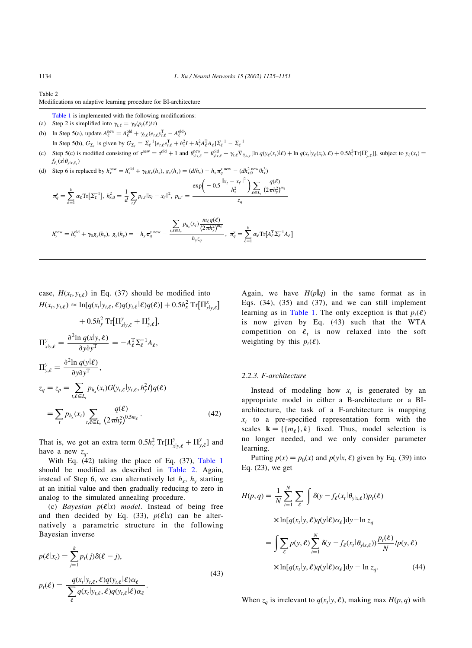Table 2 Modifications on adaptive learning procedure for BI-architecture

[Table 1](#page-8-0) is implemented with the following modifications:

- (a) Step 2 is simplified into  $\gamma_{t,\ell} = \gamma_0(p_t(\ell)/\tau)$
- (b) In Step 5(a), update  $A_{\ell}^{\text{new}} = A_{\ell}^{\text{old}} + \gamma_{t,\ell} (e_{t,\ell} y_{t,\ell}^{\text{T}} A_{\ell}^{\text{old}})$

In Step 5(b),  $G_{\Sigma_{\ell}}$  is given by  $G_{\Sigma_{\ell}} = \sum_{\ell}^{-1} [e_{t,\ell}e_{t,\ell}^{T} + h_{x}^{2}I + h_{y}^{2}A_{\ell}^{T}A_{\ell}] \sum_{\ell}^{-1} - \sum_{\ell}^{-1}$ 

- (c) Step 5(c) is modified consisting of  $\tau^{\text{new}} = \tau^{\text{old}} + 1$  and  $\theta^{\text{new}}_{y|x,\ell} = \theta^{\text{old}}_{y|x,\ell} + \gamma_{t,\ell} \nabla_{\theta_{y|x,\ell}} [\ln q(y_{\ell}(x_t)|\ell) + \ln q(x_t|y_{\ell}(x_t),\ell) + 0.5h_y^2 \text{Tr}[\Pi_{y,\ell}^y]$ , subject to  $y_{\ell}(x_t) =$  $f_{\ell_t}(x|\theta_{y|x,\ell_t})$
- (d) Step 6 is replaced by  $h_x^{\text{new}} = h_x^{\text{old}} + \gamma_0 g_x(h_x)$ ,  $g_x(h_x) = (d/h_x) h_x \pi_q^{\text{new}} (dh_{x,0}^2)^{\text{new}}$

$$
\pi_q^x = \sum_{\ell=1}^k \alpha_\ell \mathrm{Tr}[\Sigma_\ell^{-1}], \ h_{x,0}^2 = \frac{1}{d} \sum_{t,t'} p_{t,t'} ||x_t - x_{t'}||^2, \ p_{t,t'} = \frac{\exp\left(-0.5 \frac{||x_t - x_{t'}||^2}{h_x^2}\right) \sum_{\ell \in L_t} \frac{q(\ell)}{(2\pi h_y^2)^{m_\ell}}}{z_q}
$$

$$
h_{y}^{\text{new}} = h_{y}^{\text{old}} + \gamma_{0}g_{y}(h_{y}), \ g_{y}(h_{y}) = -h_{y}\pi_{q}^{\text{new}} - \frac{\sum_{t,\ell \in L_{t}} p_{h_{x}}(x_{t}) \frac{m_{\ell}q(\ell)}{(2\pi h_{y}^{2})^{m_{\ell}}}}{h_{y}z_{q}}, \ \pi_{q}^{\text{v}} = \sum_{\ell=1}^{k} \alpha_{\ell} \text{Tr}[A_{\ell}^{T} \Sigma_{\ell}^{-1} A_{\ell}]
$$

case,  $H(x_t, y_{t,\ell})$  in Eq. (37) should be modified into  $H(x_t, y_{t,\ell}) \approx \ln[q(x_t|y_{t,\ell}, \ell)q(y_{t,\ell}|\ell)q(\ell)] + 0.5h_x^2 \operatorname{Tr}[\Pi_{x|y,\ell}^x]$  $\overline{1}$ 

$$
+ 0.5h_y^2 \operatorname{Tr}[\Pi_{x|y,\ell}^y + \Pi_{y,\ell}^y],
$$
  
\n
$$
\Pi_{x|y,\ell}^y = \frac{\partial^2 \ln q(x|y,\ell)}{\partial y \partial y^T} = -A_{\ell}^{\mathrm{T}} \Sigma_{\ell}^{-1} A_{\ell},
$$
  
\n
$$
\Pi_{y,\ell}^y = \frac{\partial^2 \ln q(y|\ell)}{\partial y \partial y^T},
$$
  
\n
$$
z_q = z_p = \sum_{t,\ell \in L_t} p_{h_x}(x_t) G(y_{t,\ell} | y_{t,\ell}, h_y^2 I) q(\ell)
$$
  
\n
$$
= \sum_t p_{h_x}(x_t) \sum_{t,\ell \in L_t} \frac{q(\ell)}{(2\pi h_y^2)^{0.5m_\ell}}.
$$
\n(42)

That is, we got an extra term  $0.5h_y^2 \text{Tr}[\Pi_{x|y,\ell}^y + \Pi_{y,\ell}^y]$  and have a new  $z_a$ .

With Eq. (42) taking the place of Eq. (37), [Table 1](#page-8-0) should be modified as described in Table 2. Again, instead of Step 6, we can alternatively let  $h<sub>x</sub>$ ,  $h<sub>y</sub>$  starting at an initial value and then gradually reducing to zero in analog to the simulated annealing procedure.

(c) Bayesian  $p(\ell|x)$  model. Instead of being free and then decided by Eq. (33),  $p(\ell|x)$  can be alternatively a parametric structure in the following Bayesian inverse

$$
p(\ell|x_t) = \sum_{j=1}^k p_t(j)\delta(\ell - j),
$$
  
\n
$$
p_t(\ell) = \frac{q(x_t|y_{t,\ell}, \ell)q(y_{t,\ell}|\ell)\alpha_{\ell}}{\sum_{\ell} q(x_t|y_{t,\ell}, \ell)q(y_{t,\ell}|\ell)\alpha_{\ell}}.
$$
\n(43)

Again, we have  $H(p||q)$  in the same format as in Eqs.  $(34)$ ,  $(35)$  and  $(37)$ , and we can still implement learning as in [Table 1](#page-8-0). The only exception is that  $p_t(\ell)$ is now given by Eq. (43) such that the WTA competition on  $\ell_t$  is now relaxed into the soft weighting by this  $p_t(\ell)$ .

#### 2.2.3. F-architecture

Instead of modeling how  $x_t$  is generated by an appropriate model in either a B-architecture or a BIarchitecture, the task of a F-architecture is mapping  $x_t$  to a pre-specified representation form with the scales  $\mathbf{k} = \{\{m_\ell\}, k\}$  fixed. Thus, model selection is no longer needed, and we only consider parameter learning.

Putting  $p(x) = p_0(x)$  and  $p(y|x, \ell)$  given by Eq. (39) into Eq. (23), we get

$$
H(p,q) = \frac{1}{N} \sum_{t=1}^{N} \sum_{\ell} \int \delta(y - f_{\ell}(x_t | \theta_{y|x,\ell})) p_t(\ell)
$$
  
 
$$
\times \ln[q(x_t | y, \ell) q(y | \ell) \alpha_{\ell}] dy - \ln z_q
$$
  

$$
= \int \sum_{\ell} p(y, \ell) \sum_{t=1}^{N} \delta(y - f_{\ell}(x_t | \theta_{y|x,\ell})) \frac{p_t(\ell)}{N} p(y, \ell)
$$
  

$$
\times \ln[q(x_t | y, \ell) q(y | \ell) \alpha_{\ell}] dy - \ln z_q.
$$
 (44)

When  $z_q$  is irrelevant to  $q(x_t|y, \ell)$ , making max  $H(p, q)$  with

<span id="page-9-0"></span>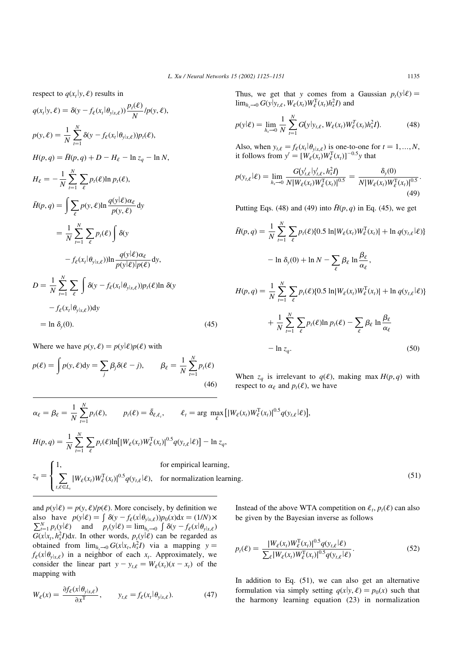respect to  $q(x_t|y, \ell)$  results in

$$
q(x_t|y, \ell) = \delta(y - f_{\ell}(x_t|\theta_{y|x,\ell})) \frac{p_t(\ell)}{N} / p(y, \ell),
$$
  
\n
$$
p(y, \ell) = \frac{1}{N} \sum_{t=1}^{N} \delta(y - f_{\ell}(x_t|\theta_{y|x,\ell})) p_t(\ell),
$$
  
\n
$$
H(p, q) = \bar{H}(p, q) + D - H_{\ell} - \ln z_q - \ln N,
$$
  
\n
$$
H_{\ell} = -\frac{1}{N} \sum_{t=1}^{N} \sum_{\ell} p_t(\ell) \ln p_t(\ell),
$$
  
\n
$$
\bar{H}(p, q) = \int \sum_{\ell} p(y, \ell) \ln \frac{q(y|\ell)\alpha_{\ell}}{p(y, \ell)} dy
$$
  
\n
$$
= \frac{1}{N} \sum_{t=1}^{N} \sum_{\ell} p_t(\ell) \int \delta(y - f_{\ell}(x_t|\theta_{y|x,\ell})) \ln \frac{q(y|\ell)\alpha_{\ell}}{p(y|\ell)} dy,
$$
  
\n
$$
D = \frac{1}{N} \sum_{t=1}^{N} \sum_{\ell} \int \delta(y - f_{\ell}(x_t|\theta_{y|x,\ell})) p_t(\ell) \ln \delta(y - f_{\ell}(x_t|\theta_{y|x,\ell})) dy)
$$
  
\n
$$
= \ln \delta_y(0).
$$
  
\n(45)

Where we have  $p(y, \ell) = p(y|\ell)p(\ell)$  with

 $\ddotsc$ 

$$
p(\ell) = \int p(y, \ell) dy = \sum_{j} \beta_j \delta(\ell - j), \qquad \beta_{\ell} = \frac{1}{N} \sum_{t=1}^{N} p_t(\ell)
$$
\n(46)

Thus, we get that y comes from a Gaussian 
$$
p_t(y|\ell) = \lim_{h_x \to 0} G(y|y_{t,\ell}, W_{\ell}(x_t)W_{\ell}^T(x_t)h_x^2 I)
$$
 and

$$
p(y|\ell) = \lim_{h_x \to 0} \frac{1}{N} \sum_{t=1}^{N} G(y|y_{t,\ell}, W_{\ell}(x_t) W_{\ell}^T(x_t) h_x^2 I).
$$
 (48)

Also, when  $y_{t,\ell} = f_{\ell}(x_t | \theta_{y|x,\ell})$  is one-to-one for  $t = 1, ..., N$ , it follows from  $y' = [W_{\ell}(x_t)W_{\ell}^T(x_t)]^{-0.5}y$  that

$$
p(y_{t,\ell}|\ell) = \lim_{h_x \to 0} \frac{G(y_{t,\ell}' | y_{t,\ell}', h_x^2 I)}{N | W_{\ell}(x_t) W_{\ell}^{\mathrm{T}}(x_t) |^{0.5}} = \frac{\delta_y(0)}{N | W_{\ell}(x_t) W_{\ell}^{\mathrm{T}}(x_t) |^{0.5}}.
$$
\n(49)

Putting Eqs. (48) and (49) into  $\bar{H}(p,q)$  in Eq. (45), we get

$$
\bar{H}(p,q) = \frac{1}{N} \sum_{t=1}^{N} \sum_{\ell} p_t(\ell) \{0.5 \ln |W_{\ell}(x_t)W_{\ell}^{\mathrm{T}}(x_t)| + \ln q(y_{t,\ell}|\ell) \}
$$

$$
- \ln \delta_y(0) + \ln N - \sum_{\ell} \beta_{\ell} \ln \frac{\beta_{\ell}}{\alpha_{\ell}},
$$

$$
H(p,q) = \frac{1}{N} \sum_{t=1}^{N} \sum_{\ell} p_t(\ell) \{0.5 \ln |W_{\ell}(x_t)W_{\ell}^{\mathrm{T}}(x_t)| + \ln q(y_{t,\ell}|\ell) \}
$$

$$
+ \frac{1}{N} \sum_{t=1}^{N} \sum_{\ell} p_t(\ell) \ln p_t(\ell) - \sum_{\ell} \beta_{\ell} \ln \frac{\beta_{\ell}}{\alpha_{\ell}}
$$

$$
- \ln z_q.
$$
(50)

When  $z_q$  is irrelevant to  $q(\ell)$ , making max  $H(p, q)$  with respect to  $\alpha_{\ell}$  and  $p_t(\ell)$ , we have

$$
\alpha_{\ell} = \beta_{\ell} = \frac{1}{N} \sum_{t=1}^{N} p_t(\ell), \qquad p_t(\ell) = \bar{\delta}_{\ell, \ell_t}, \qquad \ell_t = \arg \max_{\ell} \left[ |W_{\ell}(x_t) W_{\ell}^{\mathrm{T}}(x_t)|^{0.5} q(y_{t, \ell} | \ell) \right],
$$
  
\n
$$
H(p, q) = \frac{1}{N} \sum_{t=1}^{N} \sum_{\ell} p_t(\ell) \ln \left[ |W_{\ell}(x_t) W_{\ell}^{\mathrm{T}}(x_t)|^{0.5} q(y_{t, \ell} | \ell) \right] - \ln z_q,
$$
  
\nfor empirical learning,  
\n
$$
z_q = \begin{cases} 1, & \text{for empirical learning,} \\ \sum_{t, \ell \in L_t} |W_{\ell}(x_t) W_{\ell}^{\mathrm{T}}(x_t)|^{0.5} q(y_{t, \ell} | \ell), & \text{for normalization learning.} \end{cases}
$$
(51)

and  $p(y|\ell) = p(y, \ell)/p(\ell)$ . More concisely, by definition we also have  $p(y|\ell) = \int \delta(y - f_{\ell}(x|\theta_{y|x,\ell})) p_0(x) dx = (1/N) \times \sum_{i=1}^{N} p_i(y|\ell)$  and  $p_i(y|\ell) = \lim_{h_x \to 0} \int \delta(y - f_{\ell}(x|\theta_{y|x,\ell}))$  $\overline{G(x|x_t, h_x^2]}$ dx. In other words,  $p_t(y|\hat{\ell})$  can be regarded as obtained from  $\lim_{h_x \to 0} G(x|x_t, h_x^2 I)$  via a mapping  $y =$  $f_{\ell}(x|\theta_{y|x,\ell})$  in a neighbor of each  $x_t$ . Approximately, we consider the linear part  $y - y_{t,\ell} = W_{\ell}(x_t)(x - x_t)$  of the mapping with

$$
W_{\ell}(x) = \frac{\partial f_{\ell}(x|\theta_{y|x,\ell})}{\partial x^{T}}, \qquad y_{t,\ell} = f_{\ell}(x_t|\theta_{y|x,\ell}). \tag{47}
$$

Instead of the above WTA competition on  $\ell_t$ ,  $p_t(\ell)$  can also be given by the Bayesian inverse as follows

$$
p_t(\ell) = \frac{|W_{\ell}(x_t)W_{\ell}^{\mathrm{T}}(x_t)|^{0.5}q(y_{t,\ell}|\ell)}{\sum_{\ell}|W_{\ell}(x_t)W_{\ell}^{\mathrm{T}}(x_t)|^{0.5}q(y_{t,\ell}|\ell)}.
$$
(52)

In addition to Eq.  $(51)$ , we can also get an alternative formulation via simply setting  $q(x|y, \ell) = p_0(x)$  such that the harmony learning equation (23) in normalization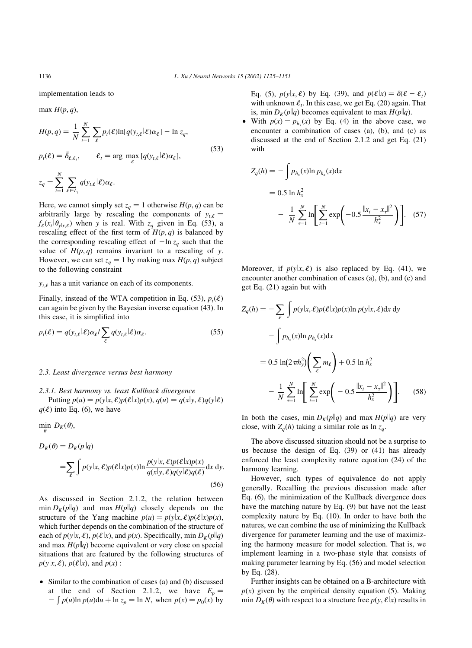implementation leads to

$$
\max H(p, q),
$$
  
\n
$$
H(p, q) = \frac{1}{N} \sum_{t=1}^{N} \sum_{\ell} p_t(\ell) \ln[q(y_{t,\ell}|\ell) \alpha_{\ell}] - \ln z_q,
$$
  
\n
$$
p_t(\ell) = \bar{\delta}_{\ell, \ell}, \qquad \ell_t = \arg \max_{\ell} [q(y_{t,\ell}|\ell) \alpha_{\ell}],
$$
\n
$$
z_q = \sum_{t=1}^{N} \sum_{\ell} q(y_{t,\ell}|\ell) \alpha_{\ell}.
$$
\n(53)

 $t=1$  $\ell \in L_t$  $q(y_{t,\ell}|\ell)\alpha_{\ell}.$ Here, we cannot simply set  $z_q = 1$  otherwise  $H(p, q)$  can be arbitrarily large by rescaling the components of  $y_{t,\ell} =$  $f_{\ell}(x_t|\theta_{y|x,\ell})$  when y is real. With  $z_q$  given in Eq. (53), a rescaling effect of the first term of  $H(p, q)$  is balanced by

the corresponding rescaling effect of  $-\ln z_q$  such that the value of  $H(p,q)$  remains invariant to a rescaling of y. However, we can set  $z_q = 1$  by making max  $H(p, q)$  subject to the following constraint

 $y_{t,\ell}$  has a unit variance on each of its components.

Finally, instead of the WTA competition in Eq. (53),  $p_t(\ell)$ can again be given by the Bayesian inverse equation (43). In this case, it is simplified into

$$
p_t(\ell) = q(y_{t,\ell}|\ell) \alpha_{\ell} / \sum_{\ell} q(y_{t,\ell}|\ell) \alpha_{\ell}.
$$
 (55)

#### 2.3. Least divergence versus best harmony

2.3.1. Best harmony vs. least Kullback divergence

Putting  $p(u) = p(y|x, \ell)p(\ell|x)p(x), q(u) = q(x|y, \ell)q(y|\ell)$  $q(\ell)$  into Eq. (6), we have

 $\min_{\theta} D_K(\theta),$ 

$$
D_K(\theta) = D_K(p||q)
$$
  
=  $\sum_{\ell} \int p(y|x, \ell) p(\ell|x) p(x) \ln \frac{p(y|x, \ell) p(\ell|x) p(x)}{q(x|y, \ell) q(y|\ell) q(\ell)} dx dy.$  (56)

As discussed in Section 2.1.2, the relation between min  $D_K(p||q)$  and max  $H(p||q)$  closely depends on the structure of the Yang machine  $p(u) = p(y|x, \ell)p(\ell|x)p(x)$ , which further depends on the combination of the structure of each of  $p(y|x, \ell)$ ,  $p(\ell|x)$ , and  $p(x)$ . Specifically, min  $D_K(p||q)$ and max  $H(p||q)$  become equivalent or very close on special situations that are featured by the following structures of  $p(y|x, \ell), p(\ell|x)$ , and  $p(x)$ :

• Similar to the combination of cases (a) and (b) discussed at the end of Section 2.1.2, we have  $E_p =$  $-\int p(u) \ln p(u) du + \ln z_p = \ln N$ , when  $p(x) = p_0(x)$  by

Eq. (5),  $p(y|x, \ell)$  by Eq. (39), and  $p(\ell|x) = \delta(\ell - \ell_t)$ with unknown  $\ell_t$ . In this case, we get Eq. (20) again. That is, min  $D_K(p||q)$  becomes equivalent to max  $H(p||q)$ .

• With  $p(x) = p_{h_x}(x)$  by Eq. (4) in the above case, we encounter a combination of cases (a), (b), and (c) as discussed at the end of Section 2.1.2 and get Eq. (21) with

$$
Z_q(h) = -\int p_{h_x}(x) \ln p_{h_x}(x) dx
$$
  
= 0.5 ln  $h_x^2$   

$$
- \frac{1}{N} \sum_{\tau=1}^N \ln \left[ \sum_{t=1}^N \exp \left( -0.5 \frac{\|x_t - x_\tau\|^2}{h_x^2} \right) \right].
$$
 (57)

Moreover, if  $p(y|x, \ell)$  is also replaced by Eq. (41), we encounter another combination of cases (a), (b), and (c) and get Eq. (21) again but with

$$
Z_q(h) = -\sum_{\ell} \int p(y|x, \ell) p(\ell|x) p(x) \ln p(y|x, \ell) dx dy
$$
  
-  $\int p_{h_x}(x) \ln p_{h_x}(x) dx$   
= 0.5  $\ln(2\pi h_y^2) \left( \sum_{\ell} m_{\ell} \right) + 0.5 \ln h_x^2$   
-  $\frac{1}{N} \sum_{\tau=1}^N \ln \left[ \sum_{t=1}^N \exp \left( -0.5 \frac{|x_t - x_\tau|^2}{h_x^2} \right) \right].$  (58)

In both the cases, min  $D_K(p||q)$  and max  $H(p||q)$  are very close, with  $Z_q(h)$  taking a similar role as  $\ln z_q$ .

The above discussed situation should not be a surprise to us because the design of Eq. (39) or (41) has already enforced the least complexity nature equation (24) of the harmony learning.

However, such types of equivalence do not apply generally. Recalling the previous discussion made after Eq. (6), the minimization of the Kullback divergence does have the matching nature by Eq. (9) but have not the least complexity nature by Eq. (10). In order to have both the natures, we can combine the use of minimizing the Kullback divergence for parameter learning and the use of maximizing the harmony measure for model selection. That is, we implement learning in a two-phase style that consists of making parameter learning by Eq. (56) and model selection by Eq. (28).

Further insights can be obtained on a B-architecture with  $p(x)$  given by the empirical density equation (5). Making min  $D_K(\theta)$  with respect to a structure free  $p(y, \ell|x)$  results in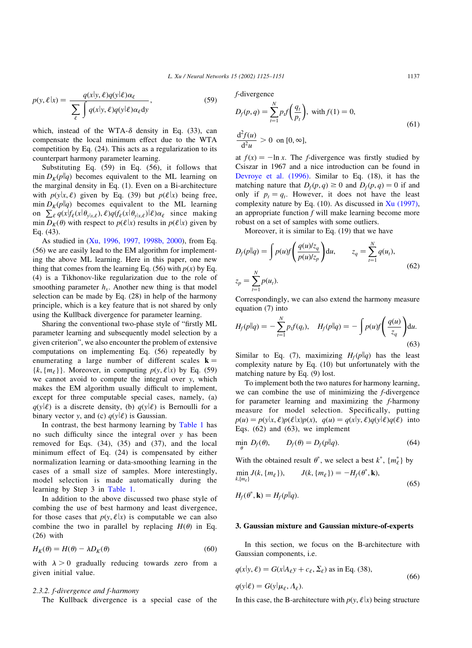$$
p(y, \ell | x) = \frac{q(x | y, \ell) q(y | \ell) \alpha_{\ell}}{\sum_{\ell} \int q(x | y, \ell) q(y | \ell) \alpha_{\ell} dy},
$$
\n(59)

which, instead of the WTA- $\delta$  density in Eq. (33), can compensate the local minimum effect due to the WTA competition by Eq. (24). This acts as a regularization to its counterpart harmony parameter learning.

Substituting Eq. (59) in Eq. (56), it follows that min  $D_K(p||q)$  becomes equivalent to the ML learning on the marginal density in Eq. (1). Even on a Bi-architecture with  $p(y|x, \ell)$  given by Eq. (39) but  $p(\ell|x)$  being free, min  $D_K(p||q)$  becomes equivalent to the ML learning on  $\sum_{\ell} q(x|f_{\ell}(x|\theta_{y|x,\ell}), \ell) q(f_{\ell}(x|\theta_{y|x,\ell}))\ell) \alpha_{\ell}$  since making min  $\overline{D}_K(\theta)$  with respect to  $p(\ell|x)$  results in  $p(\ell|x)$  given by Eq. (43).

As studied in ([Xu, 1996, 1997, 1998b, 2000](#page-26-0)), from Eq. (56) we are easily lead to the EM algorithm for implementing the above ML learning. Here in this paper, one new thing that comes from the learning Eq. (56) with  $p(x)$  by Eq. (4) is a Tikhonov-like regularization due to the role of smoothing parameter  $h<sub>x</sub>$ . Another new thing is that model selection can be made by Eq. (28) in help of the harmony principle, which is a key feature that is not shared by only using the Kullback divergence for parameter learning.

Sharing the conventional two-phase style of "firstly ML parameter learning and subsequently model selection by a given criterion", we also encounter the problem of extensive computations on implementing Eq. (56) repeatedly by enumerating a large number of different scales  $\mathbf{k} =$  $\{k, \{m_\ell\}\}\$ . Moreover, in computing  $p(y, \ell|x)$  by Eq. (59) we cannot avoid to compute the integral over  $y$ , which makes the EM algorithm usually difficult to implement, except for three computable special cases, namely, (a)  $q(y|\ell)$  is a discrete density, (b)  $q(y|\ell)$  is Bernoulli for a binary vector y, and (c)  $q(y|\ell)$  is Gaussian.

In contrast, the best harmony learning by [Table 1](#page-8-0) has no such difficulty since the integral over y has been removed for Eqs. (34), (35) and (37), and the local minimum effect of Eq. (24) is compensated by either normalization learning or data-smoothing learning in the cases of a small size of samples. More interestingly, model selection is made automatically during the learning by Step 3 in [Table 1.](#page-8-0)

In addition to the above discussed two phase style of combing the use of best harmony and least divergence, for those cases that  $p(y, \ell|x)$  is computable we can also combine the two in parallel by replacing  $H(\theta)$  in Eq. (26) with

$$
H_K(\theta) = H(\theta) - \lambda D_K(\theta) \tag{60}
$$

with  $\lambda > 0$  gradually reducing towards zero from a given initial value.

#### 2.3.2. f-divergence and f-harmony

The Kullback divergence is a special case of the

f-divergence

$$
D_f(p,q) = \sum_{t=1}^{N} p_t f\left(\frac{q_t}{p_t}\right), \text{ with } f(1) = 0,
$$
  

$$
\frac{d^2 f(u)}{d^2 u} > 0 \text{ on } [0, \infty],
$$
 (61)

at  $f(x) = -\ln x$ . The *f*-divergence was firstly studied by Csiszar in 1967 and a nice introduction can be found in [Devroye et al. \(1996\).](#page-26-0) Similar to Eq. (18), it has the matching nature that  $D_f(p,q) \ge 0$  and  $D_f(p,q) = 0$  if and only if  $p_t = q_t$ . However, it does not have the least complexity nature by Eq. (10). As discussed in [Xu \(1997\)](#page-26-0), an appropriate function  $f$  will make learning become more robust on a set of samples with some outliers.

Moreover, it is similar to Eq. (19) that we have

$$
D_f(p||q) = \int p(u)f\left(\frac{q(u)/z_q}{p(u)/z_p}\right) du, \qquad z_q = \sum_{t=1}^N q(u_t),
$$
  

$$
z_p = \sum_{t=1}^N p(u_t).
$$
 (62)

Correspondingly, we can also extend the harmony measure equation (7) into

$$
H_f(p||q) = -\sum_{t=1}^{N} p_t f(q_t), \quad H_f(p||q) = -\int p(u)f\left(\frac{q(u)}{z_q}\right) du.
$$
\n(63)

Similar to Eq. (7), maximizing  $H_f(p||q)$  has the least complexity nature by Eq. (10) but unfortunately with the matching nature by Eq. (9) lost.

To implement both the two natures for harmony learning, we can combine the use of minimizing the f-divergence for parameter learning and maximizing the f-harmony measure for model selection. Specifically, putting  $p(u) = p(y|x, \ell)p(\ell|x)p(x), q(u) = q(x|y, \ell)q(y|\ell)q(\ell)$  into Eqs. (62) and (63), we implement

$$
\min_{\theta} D_f(\theta), \qquad D_f(\theta) = D_f(p||q). \tag{64}
$$

With the obtained result  $\theta^*$ , we select a best  $k^*$ ,  $\{m_\ell^*\}$  by

$$
\min_{k, \{m_{\ell}\}} J(k, \{m_{\ell}\}), \qquad J(k, \{m_{\ell}\}) = -H_f(\theta^*, \mathbf{k}), \tag{65}
$$

$$
H_f(\theta^*, \mathbf{k}) = H_f(p||q).
$$

#### 3. Gaussian mixture and Gaussian mixture-of-experts

In this section, we focus on the B-architecture with Gaussian components, i.e.

$$
q(x|y, \ell) = G(x|A_{\ell}y + c_{\ell}, \Sigma_{\ell}) \text{ as in Eq. (38)},
$$
  
\n
$$
q(y|\ell) = G(y|\mu_{\ell}, \Lambda_{\ell}).
$$
\n(66)

In this case, the B-architecture with  $p(y, \ell|x)$  being structure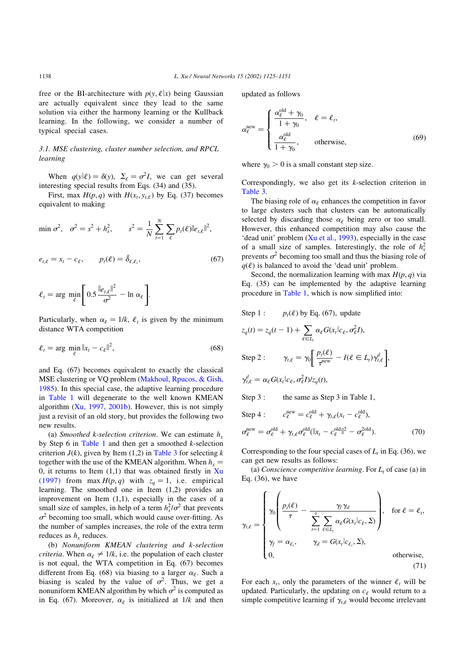free or the BI-architecture with  $p(y, \ell|x)$  being Gaussian are actually equivalent since they lead to the same solution via either the harmony learning or the Kullback learning. In the following, we consider a number of typical special cases.

# 3.1. MSE clustering, cluster number selection, and RPCL learning

When  $q(y|\ell) = \delta(y)$ ,  $\Sigma_{\ell} = \sigma^2 I$ , we can get several interesting special results from Eqs. (34) and (35).

First, max  $H(p,q)$  with  $H(x_t, y_{t,\ell})$  by Eq. (37) becomes equivalent to making

$$
\min \sigma^2, \quad \sigma^2 = s^2 + h_x^2, \qquad s^2 = \frac{1}{N} \sum_{t=1}^N \sum_{\ell} p_t(\ell) \|e_{t,\ell}\|^2,
$$
\n
$$
e_{t,\ell} = x_t - c_\ell, \qquad p_t(\ell) = \bar{\delta}_{\ell,\ell_t}, \tag{67}
$$

$$
\ell_t = \arg \min_{\ell} \left[ 0.5 \frac{\|e_{t,\ell}\|^2}{\sigma^2} - \ln \alpha_\ell \right].
$$

Particularly, when  $\alpha_{\ell} = 1/k$ ,  $\ell_t$  is given by the minimum distance WTA competition

$$
\ell_t = \arg \min_{\ell} \|x_t - c_{\ell}\|^2, \tag{68}
$$

and Eq. (67) becomes equivalent to exactly the classical MSE clustering or VQ problem [\(Makhoul, Rpucos, & Gish,](#page-26-0) [1985\)](#page-26-0). In this special case, the adaptive learning procedure in [Table 1](#page-8-0) will degenerate to the well known KMEAN algorithm  $(Xu, 1997, 2001b)$  $(Xu, 1997, 2001b)$ . However, this is not simply just a revisit of an old story, but provides the following two new results.

(a) Smoothed k-selection criterion. We can estimate  $h_x$ by Step 6 in [Table 1](#page-8-0) and then get a smoothed  $k$ -selection criterion  $J(k)$ , given by Item (1,2) in [Table 3](#page-14-0) for selecting k together with the use of the KMEAN algorithm. When  $h<sub>r</sub> =$ 0, it returns to Item  $(1,1)$  that was obtained firstly in [Xu](#page-26-0) [\(1997\)](#page-26-0) from max  $H(p,q)$  with  $z_q = 1$ , i.e. empirical learning. The smoothed one in Item (1,2) provides an improvement on Item (1,1), especially in the cases of a small size of samples, in help of a term  $h_x^2/\sigma^2$  that prevents  $\sigma^2$  becoming too small, which would cause over-fitting. As the number of samples increases, the role of the extra term reduces as  $h<sub>x</sub>$  reduces.

(b) Nonuniform KMEAN clustering and k-selection *criteria*. When  $\alpha_{\ell} \neq 1/k$ , i.e. the population of each cluster is not equal, the WTA competition in Eq. (67) becomes different from Eq. (68) via biasing to a larger  $\alpha_{\ell}$ . Such a biasing is scaled by the value of  $\sigma^2$ . Thus, we get a nonuniform KMEAN algorithm by which  $\sigma^2$  is computed as in Eq. (67). Moreover,  $\alpha_{\ell}$  is initialized at 1/k and then

updated as follows

$$
\alpha_{\ell}^{\text{new}} = \begin{cases} \frac{\alpha_{\ell}^{\text{old}} + \gamma_{0}}{1 + \gamma_{0}}, & \ell = \ell_{t}, \\ \frac{\alpha_{\ell}^{\text{old}}}{1 + \gamma_{0}}, & \text{otherwise}, \end{cases}
$$
(69)

where  $\gamma_0 > 0$  is a small constant step size.

Correspondingly, we also get its k-selection criterion in [Table 3.](#page-14-0)

The biasing role of  $\alpha_{\ell}$  enhances the competition in favor to large clusters such that clusters can be automatically selected by discarding those  $\alpha_{\ell}$  being zero or too small. However, this enhanced competition may also cause the 'dead unit' problem [\(Xu et al., 1993\)](#page-26-0), especially in the case of a small size of samples. Interestingly, the role of  $h_x^2$ prevents  $\sigma^2$  becoming too small and thus the biasing role of  $q(\ell)$  is balanced to avoid the 'dead unit' problem.

Second, the normalization learning with max  $H(p, q)$  via Eq. (35) can be implemented by the adaptive learning procedure in [Table 1](#page-8-0), which is now simplified into:

Step 1: 
$$
p_t(\ell)
$$
 by Eq. (67), update  
\n
$$
z_q(t) = z_q(t-1) + \sum_{\ell \in L_t} \alpha_{\ell} G(x_t | c_{\ell}, \sigma_{\ell}^2 I),
$$
\nStep 2: 
$$
\gamma_{t,\ell} = \gamma_0 \left[ \frac{p_t(\ell)}{\tau^{\text{new}}} - I(\ell \in L_t) \gamma_{t,\ell}^d \right],
$$
\n
$$
\gamma_{t,\ell}^d = \alpha_{\ell} G(x_t | c_{\ell}, \sigma_{\ell}^2 I) / z_q(t),
$$

Step 3 : the same as Step 3 in Table 1,

Step 4: 
$$
c_{\ell}^{\text{new}} = c_{\ell}^{\text{old}} + \gamma_{t,\ell}(x_t - c_{\ell}^{\text{old}}),
$$
  
\n $\sigma_{\ell}^{\text{new}} = \sigma_{\ell}^{\text{old}} + \gamma_{t,\ell} \sigma_{\ell}^{\text{old}} (\|x_t - c_{\ell}^{\text{old}}\|^2 - \sigma_{\ell}^{2\text{old}}).$  (70)

Corresponding to the four special cases of  $L_t$  in Eq. (36), we can get new results as follows:

(a) Conscience competitive learning. For  $L_t$  of case (a) in Eq.  $(36)$ , we have

$$
\gamma_{t,\ell} = \begin{cases}\n\gamma_0 \left( \frac{p_t(\ell)}{\tau} - \frac{\gamma_f \gamma_d}{\sum_{t=1}^{\tau} \sum_{\ell \in L_t} \alpha_{\ell} G(x_t | c_{\ell}, \Sigma)} \right), & \text{for } \ell = \ell_t, \\
\gamma_f = \alpha_{\ell_t}, & \gamma_d = G(x_t | c_{\ell_t}, \Sigma), \\
0, & \text{otherwise,} \n\end{cases}
$$
\n(71)

For each  $x_t$ , only the parameters of the winner  $\ell_t$  will be updated. Particularly, the updating on  $c_{\ell}$  would return to a simple competitive learning if  $\gamma_{t,\ell}$  would become irrelevant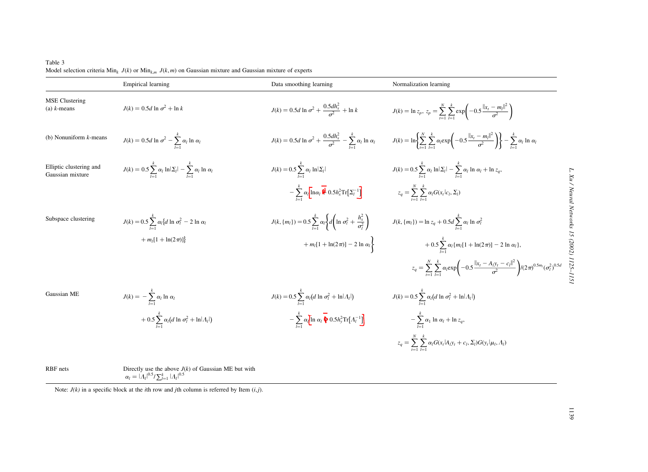<span id="page-14-0"></span>

| Table 3                                                                                                                             |  |  |  |
|-------------------------------------------------------------------------------------------------------------------------------------|--|--|--|
| Model selection criteria Min <sub>k</sub> $J(k)$ or Min <sub>k m</sub> $J(k,m)$ on Gaussian mixture and Gaussian mixture of experts |  |  |  |

|                                             | <b>Empirical learning</b>                                                                                                 | Data smoothing learning                                                                                                                                               | Normalization learning                                                                                                                                                                                                                                                                                        |
|---------------------------------------------|---------------------------------------------------------------------------------------------------------------------------|-----------------------------------------------------------------------------------------------------------------------------------------------------------------------|---------------------------------------------------------------------------------------------------------------------------------------------------------------------------------------------------------------------------------------------------------------------------------------------------------------|
| <b>MSE</b> Clustering<br>(a) $k$ -means     | $J(k) = 0.5d \ln \sigma^2 + \ln k$                                                                                        | $J(k) = 0.5d \ln \sigma^2 + \frac{0.5dh_x^2}{2} + \ln k$                                                                                                              | $J(k) = \ln z_p, z_p = \sum_{r=1}^{N} \sum_{r=1}^{k} \exp\left(-0.5 \frac{  x_t - m_l  ^2}{\sigma^2}\right)$                                                                                                                                                                                                  |
| (b) Nonuniform $k$ -means                   | $J(k) = 0.5d \ln \sigma^2 - \sum_{l=1}^{k} \alpha_l \ln \alpha_l$                                                         | $J(k) = 0.5d \ln \sigma^2 + \frac{0.5dh_x^2}{\sigma^2} - \sum_{l}^{k} \alpha_l \ln \alpha_l$                                                                          | $J(k) = \ln\left\{\sum_{i=1}^{N}\sum_{i=1}^{k} \alpha_i \exp\left(-0.5\frac{\ x_i - m_i\ ^2}{\sigma^2}\right)\right\} - \sum_{i=1}^{k} \alpha_i \ln \alpha_i$                                                                                                                                                 |
| Elliptic clustering and<br>Gaussian mixture | $J(k) = 0.5 \sum_{l=1}^{k} \alpha_l \ln  \Sigma_l  - \sum_{l=1}^{k} \alpha_l \ln \alpha_l$                                | $J(k) = 0.5 \sum_{l=1}^{k} \alpha_l \ln  \Sigma_l $<br>$-\sum_{l}^k \alpha_l \ln \alpha_l \overline{\mathbf{Q}}$ 0.5h <sub>x</sub> <sup>2</sup> Tr[ $\Sigma_l^{-1}$ ] | $J(k) = 0.5 \sum_{l=1}^{k} \alpha_l \ln \Sigma_l  - \sum_{l=1}^{k} \alpha_l \ln \alpha_l + \ln z_q,$<br>$z_q = \sum_{l}^{N} \sum_{l}^{k} \alpha_l G(x_l   c_l, \Sigma_l)$                                                                                                                                     |
| Subspace clustering                         | $J(k) = 0.5 \sum_{l=1}^{k} \alpha_l \{ d \ln \sigma_l^2 - 2 \ln \alpha_l \}$<br>$+ml[1 + ln(2\pi)]$                       | $J(k, \{m_l\}) = 0.5 \sum_{i=1}^{k} \alpha_l \left\{ d \left( \ln \sigma_l^2 + \frac{h_x^2}{\sigma_i^2} \right) \right\}$<br>+ $m_l[1 + \ln(2\pi)] - 2 \ln \alpha_l$  | $J(k, \{m_l\}) = \ln z_q + 0.5d \sum_{l=1}^{k} \alpha_l \ln \sigma_l^2$<br>+ $0.5\sum_{l=1}^{k} \alpha_l \{m_l[1 + \ln(2\pi)] - 2 \ln \alpha_l\},\$<br>$z_q = \sum_{i=1}^{N} \sum_{i=1}^{k} \alpha_i \exp \left(-0.5 \frac{\ x_t - A_i y_t - c_l\ ^2}{\sigma^2}\right) / (2\pi)^{0.5m_l} (\sigma_l^2)^{0.5d}$ |
| Gaussian ME                                 | $J(k) = -\sum_{i=1}^{k} \alpha_i \ln \alpha_i$<br>$+ 0.5 \sum_{l}^{\kappa} \alpha_l (d \ln \sigma_l^2 + \ln  \Lambda_l )$ | $J(k) = 0.5 \sum_{i=1}^{k} \alpha_i (d \ln \sigma_i^2 + \ln  \Lambda_i )$<br>$-\sum_{l}^k \alpha_l \ln \alpha_l \sum_{l} 0.5 h_y^2 \text{Tr}[\Lambda_l^{-1}]$         | $J(k) = 0.5 \sum_{l}^{\infty} \alpha_l (d \ln \sigma_l^2 + \ln  \Lambda_l )$<br>$-\sum_{l=1}^{k} \alpha_l \ln \alpha_l + \ln z_q,$<br>$z_q = \sum_{i=1}^N \sum_{i=1}^k \alpha_i G(x_t   A_i y_t + c_l, \Sigma_l) G(y_t   \mu_l, \Lambda_l)$                                                                   |

RBF nets Directly use the above  $J(k)$  of Gaussian ME but with  $\alpha_l = |A_l|^{0.5} / \sum_{l=1}^k |A_l|^{0.5}$ 

Note:  $J(k)$  in a specific block at the *i*th row and *j*th column is referred by Item  $(i,j)$ .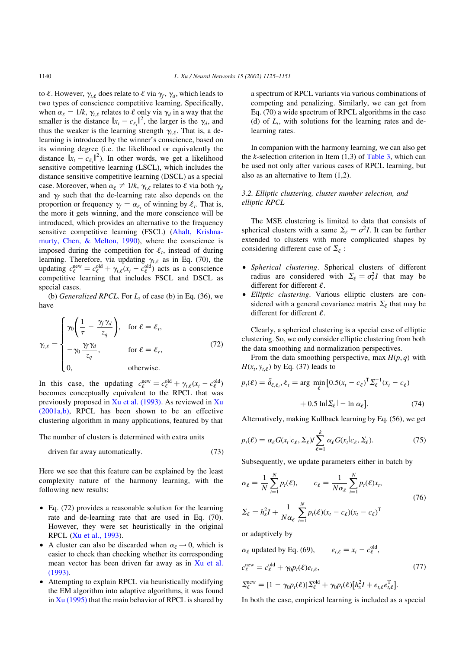to  $\ell$ . However,  $\gamma_{t,\ell}$  does relate to  $\ell$  via  $\gamma_f$ ,  $\gamma_d$ , which leads to two types of conscience competitive learning. Specifically, when  $\alpha_{\ell} = 1/k$ ,  $\gamma_{t,\ell}$  relates to  $\ell$  only via  $\gamma_d$  in a way that the smaller is the distance  $||x_t - c_{\ell_i}||^2$ , the larger is the  $\gamma_d$ , and thus the weaker is the learning strength  $\gamma_{t,\ell}$ . That is, a delearning is introduced by the winner's conscience, based on its winning degree (i.e. the likelihood or equivalently the distance  $\|\bar{x}_t - c_{\ell_t}\|^2$ ). In other words, we get a likelihood sensitive competitive learning (LSCL), which includes the distance sensitive competitive learning (DSCL) as a special case. Moreover, when  $\alpha_{\ell} \neq 1/k$ ,  $\gamma_{t,\ell}$  relates to  $\ell$  via both  $\gamma_d$ and  $\gamma_f$  such that the de-learning rate also depends on the proportion or frequency  $\gamma_f = \alpha_{\ell}$  of winning by  $\ell_t$ . That is, the more it gets winning, and the more conscience will be introduced, which provides an alternative to the frequency sensitive competitive learning (FSCL) ([Ahalt, Krishna](#page-25-0)[murty, Chen, & Melton, 1990](#page-25-0)), where the conscience is imposed during the competition for  $\ell_t$ , instead of during learning. Therefore, via updating  $\gamma_{t,\ell}$  as in Eq. (70), the updating  $c_{\ell}^{\text{new}} = c_{\ell}^{\text{old}} + \gamma_{t,\ell}(x_t - c_{\ell}^{\text{old}})$  acts as a conscience competitive learning that includes FSCL and DSCL as special cases.

(b) Generalized RPCL. For  $L_t$  of case (b) in Eq. (36), we have

$$
\gamma_{t,\ell} = \begin{cases}\n\gamma_0 \left( \frac{1}{\tau} - \frac{\gamma_f \gamma_d}{z_q} \right), & \text{for } \ell = \ell_t, \\
-\gamma_0 \frac{\gamma_f \gamma_d}{z_q}, & \text{for } \ell = \ell_r, \\
0, & \text{otherwise.} \n\end{cases}
$$
\n(72)

In this case, the updating  $c_{\ell}^{\text{new}} = c_{\ell}^{\text{old}} + \gamma_{t,\ell}(x_t - c_{\ell}^{\text{old}})$ becomes conceptually equivalent to the RPCL that was previously proposed in [Xu et al. \(1993\).](#page-26-0) As reviewed in [Xu](#page-26-0) [\(2001a,b\),](#page-26-0) RPCL has been shown to be an effective clustering algorithm in many applications, featured by that

The number of clusters is determined with extra units

driven far away automatically: ð73Þ

Here we see that this feature can be explained by the least complexity nature of the harmony learning, with the following new results:

- † Eq. (72) provides a reasonable solution for the learning rate and de-learning rate that are used in Eq. (70). However, they were set heuristically in the original RPCL ([Xu et al., 1993](#page-26-0)).
- A cluster can also be discarded when  $\alpha_{\ell} \rightarrow 0$ , which is easier to check than checking whether its corresponding mean vector has been driven far away as in [Xu et al.](#page-26-0) [\(1993\)](#page-26-0).
- Attempting to explain RPCL via heuristically modifying the EM algorithm into adaptive algorithms, it was found in  $Xu$  (1995) that the main behavior of RPCL is shared by

a spectrum of RPCL variants via various combinations of competing and penalizing. Similarly, we can get from Eq. (70) a wide spectrum of RPCL algorithms in the case (d) of  $L_t$ , with solutions for the learning rates and delearning rates.

In companion with the harmony learning, we can also get the k-selection criterion in Item  $(1,3)$  of [Table 3](#page-14-0), which can be used not only after various cases of RPCL learning, but also as an alternative to Item (1,2).

# 3.2. Elliptic clustering, cluster number selection, and elliptic RPCL

The MSE clustering is limited to data that consists of spherical clusters with a same  $\Sigma_{\ell} = \sigma^2 I$ . It can be further extended to clusters with more complicated shapes by considering different case of  $\Sigma_{\ell}$ :

- Spherical clustering. Spherical clusters of different radius are considered with  $\Sigma_{\ell} = \sigma_{\ell}^2 I$  that may be different for different  $\ell$ .
- Elliptic clustering. Various elliptic clusters are considered with a general covariance matrix  $\Sigma_{\ell}$  that may be different for different  $\ell$ .

Clearly, a spherical clustering is a special case of elliptic clustering. So, we only consider elliptic clustering from both the data smoothing and normalization perspectives.

From the data smoothing perspective, max  $H(p, q)$  with  $H(x_t, y_{t,\ell})$  by Eq. (37) leads to

$$
p_t(\ell) = \bar{\delta}_{\ell,\ell_t}, \ell_t = \arg \min_{\ell} \left[ 0.5(x_t - c_{\ell})^{\mathrm{T}} \Sigma_{\ell}^{-1} (x_t - c_{\ell}) + 0.5 \ln |\Sigma_{\ell}| - \ln \alpha_{\ell} \right].
$$
 (74)

Alternatively, making Kullback learning by Eq. (56), we get

$$
p_t(\ell) = \alpha_{\ell} G(x_t | c_{\ell}, \Sigma_{\ell}) / \sum_{\ell=1}^k \alpha_{\ell} G(x_t | c_{\ell}, \Sigma_{\ell}).
$$
 (75)

Subsequently, we update parameters either in batch by

$$
\alpha_{\ell} = \frac{1}{N} \sum_{t=1}^{N} p_t(\ell), \qquad c_{\ell} = \frac{1}{N \alpha_{\ell}} \sum_{t=1}^{N} p_t(\ell) x_t,
$$
  

$$
\Sigma_{\ell} = h_x^2 I + \frac{1}{N \alpha_{\ell}} \sum_{t=1}^{N} p_t(\ell) (x_t - c_{\ell}) (x_t - c_{\ell})^{\mathrm{T}}
$$
(76)

or adaptively by

$$
\alpha_{\ell} \text{ updated by Eq. (69)}, \qquad e_{t,\ell} = x_t - c_{\ell}^{\text{old}},
$$
  
\n
$$
c_{\ell}^{\text{new}} = c_{\ell}^{\text{old}} + \gamma_0 p_t(\ell) e_{t,\ell},
$$
  
\n
$$
\Sigma_{\ell}^{\text{new}} = [1 - \gamma_0 p_t(\ell)] \Sigma_{\ell}^{\text{old}} + \gamma_0 p_t(\ell) [h_x^2 I + e_{t,\ell} e_{t,\ell}^{\text{T}}].
$$
\n(77)

In both the case, empirical learning is included as a special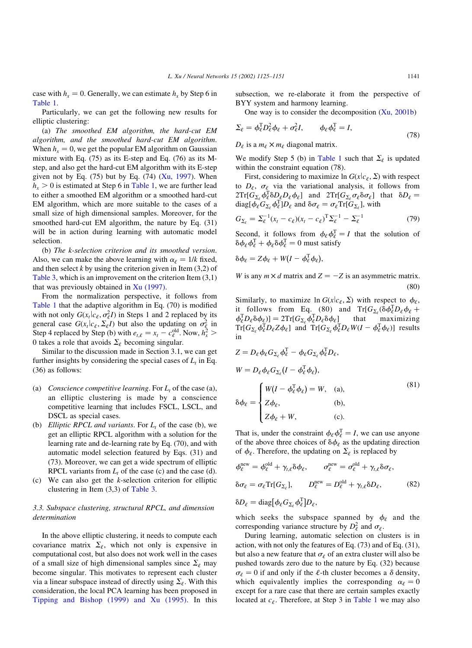case with  $h_x = 0$ . Generally, we can estimate  $h_x$  by Step 6 in [Table 1](#page-8-0).

Particularly, we can get the following new results for elliptic clustering:

(a) The smoothed EM algorithm, the hard-cut EM algorithm, and the smoothed hard-cut EM algorithm. When  $h_x = 0$ , we get the popular EM algorithm on Gaussian mixture with Eq. (75) as its E-step and Eq. (76) as its Mstep, and also get the hard-cut EM algorithm with its E-step given not by Eq.  $(75)$  but by Eq.  $(74)$   $(X<sub>u</sub>, 1997)$ . When  $h<sub>x</sub> > 0$  is estimated at Step 6 in [Table 1](#page-8-0), we are further lead to either a smoothed EM algorithm or a smoothed hard-cut EM algorithm, which are more suitable to the cases of a small size of high dimensional samples. Moreover, for the smoothed hard-cut EM algorithm, the nature by Eq. (31) will be in action during learning with automatic model selection.

(b) The k-selection criterion and its smoothed version. Also, we can make the above learning with  $\alpha_{\ell} = 1/k$  fixed, and then select  $k$  by using the criterion given in Item  $(3,2)$  of [Table 3](#page-14-0), which is an improvement on the criterion Item (3,1) that was previously obtained in [Xu \(1997\)](#page-26-0).

From the normalization perspective, it follows from [Table 1](#page-8-0) that the adaptive algorithm in Eq. (70) is modified with not only  $G(x_t | c_\ell, \sigma_\ell^2 I)$  in Steps 1 and 2 replaced by its general case  $G(x_t | c_\ell, \Sigma_\ell I)$  but also the updating on  $\sigma_\ell^2$  in Step 4 replaced by Step (b) with  $e_{t,\ell} = x_t - c_{\ell}^{\text{old}}$ . Now,  $h_x^2 >$ 0 takes a role that avoids  $\Sigma_{\ell}$  becoming singular.

Similar to the discussion made in Section 3.1, we can get further insights by considering the special cases of  $L_t$  in Eq. (36) as follows:

- (a) Conscience competitive learning. For  $L_t$  of the case (a), an elliptic clustering is made by a conscience competitive learning that includes FSCL, LSCL, and DSCL as special cases.
- (b) Elliptic RPCL and variants. For  $L_t$  of the case (b), we get an elliptic RPCL algorithm with a solution for the learning rate and de-learning rate by Eq. (70), and with automatic model selection featured by Eqs. (31) and (73). Moreover, we can get a wide spectrum of elliptic RPCL variants from  $L_t$  of the case (c) and the case (d).
- (c) We can also get the k-selection criterion for elliptic clustering in Item (3,3) of [Table 3](#page-14-0).

# 3.3. Subspace clustering, structural RPCL, and dimension determination

In the above elliptic clustering, it needs to compute each covariance matrix  $\Sigma_{\ell}$ , which not only is expensive in computational cost, but also does not work well in the cases of a small size of high dimensional samples since  $\Sigma_{\ell}$  may become singular. This motivates to represent each cluster via a linear subspace instead of directly using  $\Sigma_{\ell}$ . With this consideration, the local PCA learning has been proposed in [Tipping and Bishop \(1999\) and Xu \(1995\)](#page-26-0). In this

subsection, we re-elaborate it from the perspective of BYY system and harmony learning.

One way is to consider the decomposition ([Xu, 2001b](#page-26-0))

$$
\Sigma_{\ell} = \phi_{\ell}^{\mathrm{T}} D_{\ell}^2 \phi_{\ell} + \sigma_{\ell}^2 I, \qquad \phi_{\ell} \phi_{\ell}^{\mathrm{T}} = I, \tag{78}
$$

 $D_\ell$  is a  $m_\ell \times m_\ell$  diagonal matrix.

We modify Step 5 (b) in [Table 1](#page-8-0) such that  $\Sigma_{\ell}$  is updated within the constraint equation (78).

First, considering to maximize ln  $G(x|c_\ell, \Sigma)$  with respect to  $D_{\ell}$ ,  $\sigma_{\ell}$  via the variational analysis, it follows from  $2\mathrm{Tr}[G_{\Sigma_{\ell}}\phi_{\ell}^{\mathrm{T}}\delta D_{\ell}\phi_{\ell}]$  and  $2\mathrm{Tr}[G_{\Sigma_{\ell}}\sigma_{\ell}\delta\sigma_{\ell}]$  that  $\delta D_{\ell} =$ diag[ $\phi_\ell G_{\Sigma_\ell} \phi_\ell^T D_\ell$  and  $\delta \sigma_\ell = \sigma_\ell \text{Tr}[\tilde{G}_{\Sigma_\ell}]$ , with

$$
G_{\Sigma_{\ell}} = \Sigma_{\ell}^{-1} (x_t - c_{\ell}) (x_t - c_{\ell})^{\mathrm{T}} \Sigma_{\ell}^{-1} - \Sigma_{\ell}^{-1}
$$
 (79)

Second, it follows from  $\phi_{\ell} \phi_{\ell}^{T} = I$  that the solution of  $\delta \phi_\ell \phi_\ell^{\mathrm{T}} + \phi_\ell \delta \phi_\ell^{\mathrm{T}} = 0$  must satisfy

$$
\delta \phi_{\ell} = Z \phi_{\ell} + W (I - \phi_{\ell}^{T} \phi_{\ell}),
$$

W is any  $m \times d$  matrix and  $Z = -Z$  is an asymmetric matrix.  $(80)$ 

Similarly, to maximize  $\ln G(x|_{C_{\ell}}, \Sigma)$  with respect to  $\phi_{\ell}$ , it follows from Eq. (80) and  $Tr[G_{\Sigma_{\ell}}(\delta \phi_{\ell}^{\mathrm{T}} D_{\ell} \phi_{\ell} +$  $\phi_{\ell}^{\mathrm{T}}D_{\ell}\delta\phi_{\ell}$ )] = 2Tr[ $G_{\Sigma_{\ell}}\phi_{\ell}^{\mathrm{T}}$ that maximizing  $\text{Tr}[G_{\Sigma_\ell} \phi_\ell^{\text{T}} D_\ell Z \phi_\ell]$  and  $\text{Tr}[G_{\Sigma_\ell} \phi_\ell^{\text{T}} D_\ell W (I - \phi_\ell^{\text{T}} \phi_\ell)]$  results in

$$
Z = D_{\ell} \phi_{\ell} G_{\Sigma_{\ell}} \phi_{\ell}^{T} - \phi_{\ell} G_{\Sigma_{\ell}} \phi_{\ell}^{T} D_{\ell},
$$
  
\n
$$
W = D_{\ell} \phi_{\ell} G_{\Sigma_{\ell}} (I - \phi_{\ell}^{T} \phi_{\ell}),
$$
  
\n
$$
\delta \phi_{\ell} = \begin{cases} W(I - \phi_{\ell}^{T} \phi_{\ell}) = W, & (a), \\ Z \phi_{\ell}, & (b), \\ Z \phi_{\ell} + W, & (c). \end{cases}
$$
\n
$$
(81)
$$

That is, under the constraint  $\phi_{\ell} \phi_{\ell}^T = I$ , we can use anyone of the above three choices of  $\delta \phi_{\ell}$  as the updating direction of  $\phi_{\ell}$ . Therefore, the updating on  $\Sigma_{\ell}$  is replaced by

$$
\phi_{\ell}^{\text{new}} = \phi_{\ell}^{\text{old}} + \gamma_{t,\ell} \delta \phi_{\ell}, \qquad \sigma_{\ell}^{\text{new}} = \sigma_{\ell}^{\text{old}} + \gamma_{t,\ell} \delta \sigma_{\ell},
$$
  

$$
\delta \sigma_{\ell} = \sigma_{\ell} \text{Tr}[G_{\Sigma_{\ell}}], \qquad D_{\ell}^{\text{new}} = D_{\ell}^{\text{old}} + \gamma_{t,\ell} \delta D_{\ell}, \qquad (82)
$$

$$
\delta D_{\ell} = \text{diag}[\phi_{\ell} G_{\Sigma_{\ell}} \phi_{\ell}^{T}] D_{\ell},
$$

which seeks the subspace spanned by  $\phi_{\ell}$  and the corresponding variance structure by  $D_{\ell}^2$  and  $\sigma_{\ell}$ .

During learning, automatic selection on clusters is in action, with not only the features of Eq. (73) and of Eq. (31), but also a new feature that  $\sigma_{\ell}$  of an extra cluster will also be pushed towards zero due to the nature by Eq. (32) because  $\sigma_{\ell} = 0$  if and only if the  $\ell$ -th cluster becomes a  $\delta$  density, which equivalently implies the corresponding  $\alpha_{\ell} = 0$ except for a rare case that there are certain samples exactly located at  $c_{\ell}$ . Therefore, at Step 3 in [Table 1](#page-8-0) we may also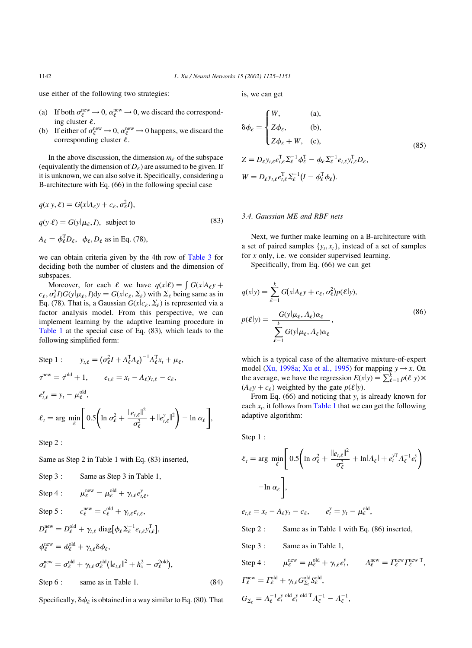use either of the following two strategies:

- (a) If both  $\sigma_{\ell}^{\text{new}} \to 0$ ,  $\alpha_{\ell}^{\text{new}} \to 0$ , we discard the corresponding cluster  $\ell$ .
- (b) If either of  $\sigma_{\ell}^{\text{new}} \to 0$ ,  $\alpha_{\ell}^{\text{new}} \to 0$  happens, we discard the corresponding cluster  $\ell$ .

In the above discussion, the dimension  $m_\ell$  of the subspace (equivalently the dimension of  $D_{\ell}$ ) are assumed to be given. If it is unknown, we can also solve it. Specifically, considering a B-architecture with Eq. (66) in the following special case

$$
q(x|y, \ell) = G(x|A_{\ell}y + c_{\ell}, \sigma_{\ell}^{2}I),
$$
  
\n
$$
q(y|\ell) = G(y|\mu_{\ell}, I), \text{ subject to}
$$
  
\n
$$
A_{\ell} = \phi_{\ell}^{T}D_{\ell}, \ \phi_{\ell}, D_{\ell} \text{ as in Eq. (78),}
$$
\n(83)

we can obtain criteria given by the 4th row of [Table 3](#page-14-0) for deciding both the number of clusters and the dimension of subspaces.

Moreover, for each  $\ell$  we have  $q(x|\ell) = \int G(x|A_{\ell}y +$  $c_{\ell}, \sigma_{\ell}^2 I) G(y | \mu_{\ell}, I) dy = G(x | c_{\ell}, \Sigma_{\ell})$  with  $\Sigma_{\ell}$  being same as in Eq. (78). That is, a Gaussian  $G(x|c_\ell, \Sigma_\ell)$  is represented via a factor analysis model. From this perspective, we can implement learning by the adaptive learning procedure in [Table 1](#page-8-0) at the special case of Eq. (83), which leads to the following simplified form:

Step 1: 
$$
y_{t,\ell} = (\sigma_{\ell}^2 I + A_{\ell}^{\mathrm{T}} A_{\ell})^{-1} A_{\ell}^{\mathrm{T}} x_t + \mu_{\ell},
$$

$$
\tau^{\text{new}} = \tau^{\text{old}} + 1, \qquad e_{t,\ell} = x_t - A_{\ell} y_{t,\ell} - c_{\ell},
$$

$$
e_{t,\ell}^y = y_t - \mu_{\ell}^{\text{old}},
$$

$$
\ell_t = \arg \min_{\ell} \left[ 0.5 \left( \ln \sigma_{\ell}^2 + \frac{\|e_{t,\ell}\|^2}{\sigma_{\ell}^2} + \|e_{t,\ell}^y\|^2 \right) - \ln \alpha_{\ell} \right],
$$

Step 2 :

Same as Step 2 in Table 1 with Eq.  $(83)$  inserted,

Step 3 : Same as Step 3 in Table 1, Step  $4:$  $\mu_{\ell}^{\text{new}} = \mu_{\ell}^{\text{old}} + \gamma_{t,\ell} e_{t,\ell}^y,$ Step  $5:$  $e^{\text{new}}_e = c^{\text{old}}_e + \gamma_{t,e} e_{t,e},$  $D_{\ell}^{\text{new}} = D_{\ell}^{\text{old}} + \gamma_{t,\ell} \text{ diag}[\phi_{\ell} \Sigma_{\ell}^{-1} e_{t,\ell} y_{t,\ell}^{\text{T}}],$  $\phi_{\ell}^{\text{new}} = \phi_{\ell}^{\text{old}} + \gamma_{t,\ell} \delta \phi_{\ell},$  $\sigma_{\ell}^{\text{new}} = \sigma_{\ell}^{\text{old}} + \gamma_{t,\ell} \sigma_{\ell}^{\text{old}} (\| e_{t,\ell} \|^2 + h_x^2 - \sigma_{\ell}^{\text{2old}}),$ Step  $6:$  same as in Table 1.  $(84)$ 

Specifically,  $\delta \phi_{\ell}$  is obtained in a way similar to Eq. (80). That

is, we can get

$$
\delta \phi_{\ell} = \begin{cases} W, & \text{(a)}, \\ Z \phi_{\ell}, & \text{(b)}, \\ Z \phi_{\ell} + W, & \text{(c)}, \end{cases}
$$
  
\n
$$
Z = D_{\ell} y_{t,\ell} e_{t,\ell}^{T} \sum_{\ell}^{-1} \phi_{\ell}^{T} - \phi_{\ell} \sum_{\ell}^{-1} e_{t,\ell} y_{t,\ell}^{T} D_{\ell},
$$
  
\n
$$
W = D_{\ell} y_{t,\ell} e_{t,\ell}^{T} \sum_{\ell}^{-1} (I - \phi_{\ell}^{T} \phi_{\ell}).
$$
\n
$$
(85)
$$

## 3.4. Gaussian ME and RBF nets

Next, we further make learning on a B-architecture with a set of paired samples  $\{y_t, x_t\}$ , instead of a set of samples for  $x$  only, i.e. we consider supervised learning.

Specifically, from Eq. (66) we can get

$$
q(x|y) = \sum_{\ell=1}^{k} G(x|A_{\ell}y + c_{\ell}, \sigma_{\ell}^{2})p(\ell|y),
$$
  

$$
p(\ell|y) = \frac{G(y|\mu_{\ell}, \Lambda_{\ell})\alpha_{\ell}}{\sum_{\ell=1}^{k} G(y|\mu_{\ell}, \Lambda_{\ell})\alpha_{\ell}},
$$
 (86)

which is a typical case of the alternative mixture-of-expert model [\(Xu, 1998a; Xu et al., 1995](#page-26-0)) for mapping  $y \rightarrow x$ . On the average, we have the regression  $E(x|y) = \sum_{k=1}^{k} p(\ell|y) \times$  $(A_{\ell}y + c_{\ell})$  weighted by the gate  $p(\ell|y)$ .

From Eq. (66) and noticing that  $y_t$  is already known for each  $x_t$ , it follows from [Table 1](#page-8-0) that we can get the following adaptive algorithm:

Step 1 :

$$
\ell_t = \arg \min_{\ell} \left[ 0.5 \left( \ln \sigma_{\ell}^2 + \frac{\|e_{t,\ell}\|^2}{\sigma_{\ell}^2} + \ln|\Lambda_{\ell}| + e_t^{yT} \Lambda_{\ell}^{-1} e_t^y \right) - \ln \alpha_{\ell} \right],
$$

 $e_{t,\ell} = x_t - A_{\ell} y_t - c_{\ell}, \qquad e_t^y = y_t - \mu_{\ell}^{\text{old}},$ 

Step  $2$ : Same as in Table 1 with Eq.  $(86)$  inserted,

Step 3 : Same as in Table 1,

Step 4: 
$$
\mu_{\ell}^{\text{new}} = \mu_{\ell}^{\text{old}} + \gamma_{t,\ell} e_{t}^{\gamma}, \qquad \Lambda_{\ell}^{\text{new}} = \Gamma_{\ell}^{\text{new}} \Gamma_{\ell}^{\text{new}}^{\text{new}} ,
$$
  
\n $\Gamma_{\ell}^{\text{new}} = \Gamma_{\ell}^{\text{old}} + \gamma_{t,\ell} G_{\Sigma_{\ell}}^{\text{old}} S_{\ell}^{\text{old}} ,$   
\n $G_{\Sigma_{\ell}} = \Lambda_{\ell}^{-1} e_{t}^{\text{y old}} e_{t}^{\text{y old}} \Gamma \Lambda_{\ell}^{-1} - \Lambda_{\ell}^{-1},$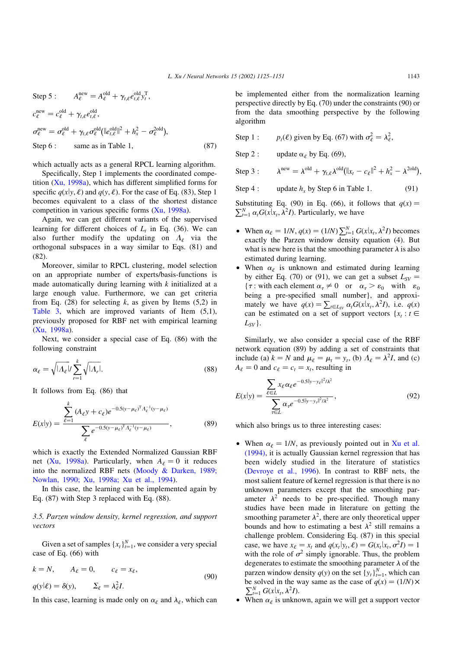Step 5: 
$$
A_{\ell}^{\text{new}} = A_{\ell}^{\text{old}} + \gamma_{t,\ell} e_{t,\ell}^{\text{old}} y_t^{\text{T}},
$$
  
\n $c_{\ell}^{\text{new}} = c_{\ell}^{\text{old}} + \gamma_{t,\ell} e_{t,\ell}^{\text{old}},$   
\n $\sigma_{\ell}^{\text{new}} = \sigma_{\ell}^{\text{old}} + \gamma_{t,\ell} \sigma_{\ell}^{\text{old}} (\|e_{t,\ell}^{\text{old}}\|^2 + h_x^2 - \sigma_{\ell}^{\text{2old}}),$   
\nStep 6: same as in Table 1, (87)

which actually acts as a general RPCL learning algorithm.

Specifically, Step 1 implements the coordinated competition  $(X_{u}, 1998a)$ , which has different simplified forms for specific  $q(x|y, \ell)$  and  $q(y, \ell)$ . For the case of Eq. (83), Step 1 becomes equivalent to a class of the shortest distance competition in various specific forms ([Xu, 1998a\)](#page-26-0).

Again, we can get different variants of the supervised learning for different choices of  $L_t$  in Eq. (36). We can also further modify the updating on  $\Lambda_{\ell}$  via the orthogonal subspaces in a way similar to Eqs. (81) and (82).

Moreover, similar to RPCL clustering, model selection on an appropriate number of experts/basis-functions is made automatically during learning with  $k$  initialized at a large enough value. Furthermore, we can get criteria from Eq. (28) for selecting k, as given by Items  $(5,2)$  in [Table 3](#page-14-0), which are improved variants of Item  $(5,1)$ , previously proposed for RBF net with empirical learning ([Xu, 1998a](#page-26-0)).

Next, we consider a special case of Eq. (86) with the following constraint

$$
\alpha_{\ell} = \sqrt{|A_{\ell}|} \sum_{r=1}^{k} \sqrt{|A_{r}|}. \tag{88}
$$

It follows from Eq. (86) that

$$
E(x|y) = \frac{\sum_{\ell=1}^{k} (A_{\ell}y + c_{\ell})e^{-0.5(y - \mu_{\ell})^{T} \Lambda_{\ell}^{-1}(y - \mu_{\ell})}}{\sum_{\ell} e^{-0.5(y - \mu_{\ell})^{T} \Lambda_{\ell}^{-1}(y - \mu_{\ell})}},
$$
(89)

which is exactly the Extended Normalized Gaussian RBF net [\(Xu, 1998a](#page-26-0)). Particularly, when  $A_{\ell} = 0$  it reduces into the normalized RBF nets ([Moody & Darken, 1989;](#page-26-0) [Nowlan, 1990; Xu, 1998a; Xu et al., 1994](#page-26-0)).

In this case, the learning can be implemented again by Eq. (87) with Step 3 replaced with Eq. (88).

# 3.5. Parzen window density, kernel regression, and support vectors

Given a set of samples  $\{x_t\}_{t=1}^N$ , we consider a very special case of Eq. (66) with

$$
k = N, \qquad A_{\ell} = 0, \qquad c_{\ell} = x_{\ell}, \tag{90}
$$

$$
q(y|\ell) = \delta(y), \qquad \Sigma_{\ell} = \lambda_{\ell}^2 I.
$$

In this case, learning is made only on  $\alpha_{\ell}$  and  $\lambda_{\ell}$ , which can

be implemented either from the normalization learning perspective directly by Eq. (70) under the constraints (90) or from the data smoothing perspective by the following algorithm

Step 1: 
$$
p_t(\ell)
$$
 given by Eq. (67) with  $\sigma_{\ell}^2 = \lambda_{\ell}^2$ ,

Step 2 : update  $\alpha_{\ell}$  by Eq. (69),

Step 3: 
$$
\lambda^{\text{new}} = \lambda^{\text{old}} + \gamma_{t,\ell} \lambda^{\text{old}} (\|x_t - c_{\ell}\|^2 + h_x^2 - \lambda^{\text{2old}}),
$$

Step 4: update 
$$
h_x
$$
 by Step 6 in Table 1. (91)

Substituting Eq. (90) in Eq. (66), it follows that  $q(x) =$  $\sum_{l=1}^{N} \alpha_l G(x|x_l, \lambda^2 I)$ . Particularly, we have

- When  $\alpha_{\ell} = 1/N$ ,  $q(x) = (1/N) \sum_{t=1}^{N} G(x|x_t, \lambda^2 I)$  becomes exactly the Parzen window density equation (4). But what is new here is that the smoothing parameter  $\lambda$  is also estimated during learning.
- When  $\alpha_{\ell}$  is unknown and estimated during learning by either Eq. (70) or (91), we can get a subset  $L_{SV}$  = { $\tau$  : with each element  $\alpha_{\tau} \neq 0$  or  $\alpha_{\tau} > \varepsilon_0$  with  $\varepsilon_0$ being a pre-specified small number}, and approximately we have  $q(x) = \sum_{t \in L_{SV}} \alpha_t G(x|x_t, \lambda^2 I)$ , i.e.  $q(x)$ can be estimated on a set of support vectors  $\{x_t : t \in$  $L_{SV}$ .

Similarly, we also consider a special case of the RBF network equation (89) by adding a set of constraints that include (a)  $k = N$  and  $\mu_{\ell} = \mu_t = y_t$ , (b)  $\Lambda_{\ell} = \lambda^2 I$ , and (c)  $A_{\ell} = 0$  and  $c_{\ell} = c_t = x_t$ , resulting in

$$
E(x|y) = \frac{\sum_{\ell \in L} x_{\ell} \alpha_{\ell} e^{-0.5\|y - y_{\ell}\|^2/\lambda^2}}{\sum_{\tau \in L} \alpha_{\tau} e^{-0.5\|y - y_{\tau}\|^2/\lambda^2}},
$$
\n(92)

which also brings us to three interesting cases:

- When  $\alpha_{\ell} = 1/N$ , as previously pointed out in [Xu et al.](#page-26-0) [\(1994\)](#page-26-0), it is actually Gaussian kernel regression that has been widely studied in the literature of statistics ([Devroye et al., 1996](#page-26-0)). In contrast to RBF nets, the most salient feature of kernel regression is that there is no unknown parameters except that the smoothing parameter  $\lambda^2$  needs to be pre-specified. Though many studies have been made in literature on getting the smoothing parameter  $\lambda^2$ , there are only theoretical upper bounds and how to estimating a best  $\lambda^2$  still remains a challenge problem. Considering Eq. (87) in this special case, we have  $x_{\ell} = x_t$  and  $q(x_t | y_t, \ell) = G(x_t | x_t, \sigma^2 I) = 1$ with the role of  $\sigma^2$  simply ignorable. Thus, the problem degenerates to estimate the smoothing parameter  $\lambda$  of the parzen window density  $q(y)$  on the set  $\{y_t\}_{t=1}^N$ , which can be solved in the way same as the case of  $q(x) = (1/N) \times$  $\sum_{t=1}^{N} G(x|x_t, \lambda^2 I).$
- When  $\alpha_{\ell}$  is unknown, again we will get a support vector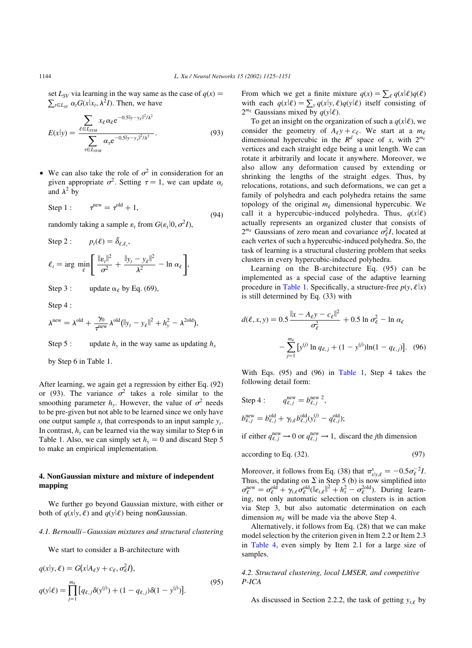set  $L_{SV}$  via learning in the way same as the case of  $q(x) =$  $\sum_{t \in L_{SV}} \alpha_t G(x|x_t, \lambda^2 I)$ . Then, we have

$$
E(x|y) = \frac{\sum_{\ell \in L_{SVM}} x_{\ell} \alpha_{\ell} e^{-0.5\|y - y_{\ell}\|^2/\lambda^2}}{\sum_{\tau \in L_{SVM}} \alpha_{\tau} e^{-0.5\|y - y_{\tau}\|^2/\lambda^2}}.
$$
\n(93)

• We can also take the role of  $\sigma^2$  in consideration for an given appropriate  $\sigma^2$ . Setting  $\tau = 1$ , we can update  $\alpha_t$ and  $\lambda^2$  by

Step 1: 
$$
\tau^{\text{new}} = \tau^{\text{old}} + 1,
$$
 (94)

randomly taking a sample  $\varepsilon_t$  from  $G(\varepsilon_t|0, \sigma^2 I)$ ,

Step 2: 
$$
p_t(\ell) = \bar{\delta}_{\ell,\ell_1}
$$
,  
\n
$$
\ell_t = \arg \min_{\ell} \left[ \frac{\| \varepsilon_t \|^2}{\sigma^2} + \frac{\| y_t - y_\ell \|^2}{\lambda^2} - \ln \alpha_\ell \right],
$$

Step 3 : update  $\alpha_{\ell}$  by Eq. (69),

Step 4 :

$$
\lambda^{\text{new}} = \lambda^{\text{old}} + \frac{\gamma_0}{\tau^{\text{new}}} \lambda^{\text{old}} (\|y_t - y_e\|^2 + h_y^2 - \lambda^{\text{2old}}),
$$

Step 5 : update  $h<sub>v</sub>$  in the way same as updating  $h<sub>x</sub>$ 

by Step 6 in Table 1:

After learning, we again get a regression by either Eq. (92) or (93). The variance  $\sigma^2$  takes a role similar to the smoothing parameter h<sub>y</sub>. However, the value of  $\sigma^2$  needs to be pre-given but not able to be learned since we only have one output sample  $x_t$  that corresponds to an input sample  $y_t$ . In contrast,  $h<sub>v</sub>$  can be learned via the way similar to Step 6 in Table 1. Also, we can simply set  $h<sub>v</sub> = 0$  and discard Step 5 to make an empirical implementation.

# 4. NonGaussian mixture and mixture of independent mapping

We further go beyond Gaussian mixture, with either or both of  $q(x|y, \ell)$  and  $q(y|\ell)$  being nonGaussian.

### 4.1. Bernoulli–Gaussian mixtures and structural clustering

We start to consider a B-architecture with

$$
q(x|y, \ell) = G(x|A_{\ell}y + c_{\ell}, \sigma_{\ell}^{2}I),
$$
  
\n
$$
q(y|\ell) = \prod_{j=1}^{m_{\ell}} [q_{\ell,j}\delta(y^{(j)}) + (1 - q_{\ell,j})\delta(1 - y^{(j)})].
$$
\n(95)

From which we get a finite mixture  $q(x) = \sum_{\ell} q(x|\ell)q(\ell)$ with each  $q(x|\ell) = \sum_{y} q(x|y, \ell)q(y|\ell)$  itself consisting of  $2^{m_{\ell}}$  Gaussians mixed by  $q(y|\ell)$ .

To get an insight on the organization of such a  $q(x|\ell)$ , we consider the geometry of  $A_{\ell}y + c_{\ell}$ . We start at a  $m_{\ell}$ dimensional hypercubic in the  $R^d$  space of x, with  $2^{m_\ell}$ vertices and each straight edge being a unit length. We can rotate it arbitrarily and locate it anywhere. Moreover, we also allow any deformation caused by extending or shrinking the lengths of the straight edges. Thus, by relocations, rotations, and such deformations, we can get a family of polyhedra and each polyhedra retains the same topology of the original  $m_{\ell}$  dimensional hypercubic. We call it a hypercubic-induced polyhedra. Thus,  $q(x|\ell)$ actually represents an organized cluster that consists of  $2^{m_{\ell}}$  Gaussians of zero mean and covariance  $\sigma_{\ell}^2 I$ , located at each vertex of such a hypercubic-induced polyhedra. So, the task of learning is a structural clustering problem that seeks clusters in every hypercubic-induced polyhedra.

Learning on the B-architecture Eq. (95) can be implemented as a special case of the adaptive learning procedure in [Table 1.](#page-8-0) Specifically, a structure-free  $p(y, \ell|x)$ is still determined by Eq. (33) with

$$
d(\ell, x, y) = 0.5 \frac{\|x - A_{\ell}y - c_{\ell}\|^2}{\sigma_{\ell}^2} + 0.5 \ln \sigma_{\ell}^2 - \ln \alpha_{\ell}
$$

$$
- \sum_{j=1}^{m_{\ell}} \left[ y^{(j)} \ln q_{\ell, j} + (1 - y^{(j)}) \ln(1 - q_{\ell, j}) \right]. \quad (96)
$$

With Eqs. (95) and (96) in [Table 1,](#page-8-0) Step 4 takes the following detail form:

Step 4: 
$$
q_{\ell,j}^{\text{new}} = b_{\ell,j}^{\text{new}}^2
$$
,  
\n
$$
b_{\ell,j}^{\text{new}} = b_{\ell,j}^{\text{old}} + \gamma_{t,\ell} b_{\ell,j}^{\text{old}} (y_t^{(j)} - q_{\ell,j}^{\text{old}});
$$
\nif either  $q_{\ell,j}^{\text{new}} \to 0$  or  $q_{\ell,j}^{\text{new}} \to 1$ , discard the *j*th dimension

according to Eq. 
$$
(32)
$$
.  $(97)$ 

Moreover, it follows from Eq. (38) that  $\pi_{x|y,\ell}^x = -0.5\sigma_{\ell}^{-2}I$ . Thus, the updating on  $\Sigma$  in Step 5 (b) is now simplified into  $\sigma_{\ell}^{\text{new}} = \sigma_{\ell}^{\text{old}} + \gamma_{t,\ell} \sigma_{\ell}^{\text{old}} (\|e_{t,\ell}\|^2 + h_x^2 - \sigma_{\ell}^{\text{2old}})$ . During learning, not only automatic selection on clusters is in action via Step 3, but also automatic determination on each dimension  $m_\ell$  will be made via the above Step 4.

Alternatively, it follows from Eq. (28) that we can make model selection by the criterion given in Item 2.2 or Item 2.3 in [Table 4](#page-21-0), even simply by Item 2.1 for a large size of samples.

# 4.2. Structural clustering, local LMSER, and competitive P-ICA

As discussed in Section 2.2.2, the task of getting  $y_{t,\ell}$  by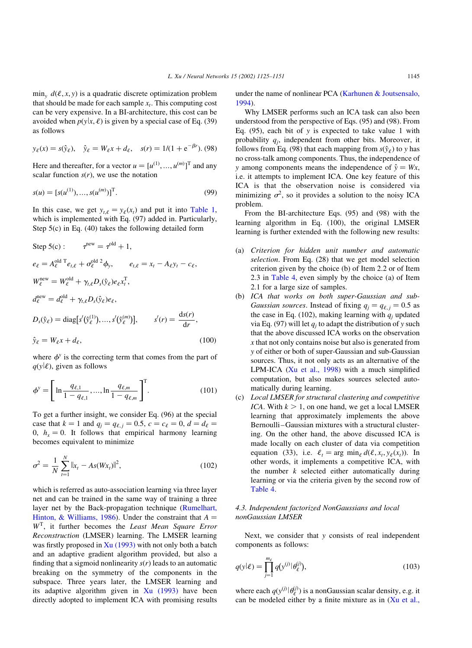$\min_{y} d(\ell, x, y)$  is a quadratic discrete optimization problem that should be made for each sample  $x_t$ . This computing cost can be very expensive. In a BI-architecture, this cost can be avoided when  $p(y|x, \ell)$  is given by a special case of Eq. (39) as follows

$$
y_{\ell}(x) = s(\hat{y}_{\ell}), \quad \hat{y}_{\ell} = W_{\ell}x + d_{\ell}, \quad s(r) = 1/(1 + e^{-\beta r}).
$$
 (98)

Here and thereafter, for a vector  $u = [u^{(1)}, ..., u^{(m)}]^T$  and any scalar function  $s(r)$ , we use the notation

$$
s(u) = [s(u^{(1)}), ..., s(u^{(m)})]^T.
$$
\n(99)

In this case, we get  $y_{t,\ell} = y_{\ell}(x_t)$  and put it into [Table 1](#page-8-0), which is implemented with Eq. (97) added in. Particularly, Step 5(c) in Eq. (40) takes the following detailed form

Step 5(c): 
$$
\tau^{\text{new}} = \tau^{\text{old}} + 1,
$$
  
\n
$$
e_{\ell} = A_{\ell}^{\text{old T}} e_{t,\ell} + \sigma_{\ell}^{\text{old 2}} \phi_{y}, \qquad e_{t,\ell} = x_{t} - A_{\ell} y_{t} - c_{\ell},
$$
  
\n
$$
W_{\ell}^{\text{new}} = W_{\ell}^{\text{old}} + \gamma_{t,\ell} D_{s}(\hat{y}_{\ell}) e_{\ell} x_{t}^{\text{T}},
$$
  
\n
$$
d_{\ell}^{\text{new}} = d_{\ell}^{\text{old}} + \gamma_{t,\ell} D_{s}(\hat{y}_{\ell}) e_{\ell},
$$
  
\n
$$
D_{s}(\hat{y}_{\ell}) = \text{diag}[s'(\hat{y}_{\ell}^{(1)}), ..., s'(\hat{y}_{\ell}^{(m)})], \qquad s'(r) = \frac{\text{d}s(r)}{\text{d}r},
$$
  
\n
$$
\hat{y}_{\ell} = W_{\ell} x + d_{\ell},
$$
  
\n(100)

where  $\phi^y$  is the correcting term that comes from the part of  $q(y|\ell)$ , given as follows

$$
\phi^{\mathbf{y}} = \left[ \ln \frac{q_{\ell,1}}{1 - q_{\ell,1}}, \dots, \ln \frac{q_{\ell,m}}{1 - q_{\ell,m}} \right]^{T}.
$$
 (101)

To get a further insight, we consider Eq. (96) at the special case that  $k = 1$  and  $q_j = q_{\ell, j} = 0.5$ ,  $c = c_{\ell} = 0$ ,  $d = d_{\ell} =$ 0,  $h_x = 0$ . It follows that empirical harmony learning becomes equivalent to minimize

$$
\sigma^2 = \frac{1}{N} \sum_{t=1}^{N} ||x_t - As(Wx_t)||^2, \qquad (102)
$$

which is referred as auto-association learning via three layer net and can be trained in the same way of training a three layer net by the Back-propagation technique ([Rumelhart,](#page-26-0) [Hinton, & Williams, 1986](#page-26-0)). Under the constraint that  $A =$  $W<sup>T</sup>$ , it further becomes the Least Mean Square Error Reconstruction (LMSER) learning. The LMSER learning was firstly proposed in  $Xu$  (1993) with not only both a batch and an adaptive gradient algorithm provided, but also a finding that a sigmoid nonlinearity  $s(r)$  leads to an automatic breaking on the symmetry of the components in the subspace. Three years later, the LMSER learning and its adaptive algorithm given in  $Xu$  (1993) have been directly adopted to implement ICA with promising results

under the name of nonlinear PCA [\(Karhunen & Joutsensalo,](#page-26-0)

Why LMSER performs such an ICA task can also been understood from the perspective of Eqs. (95) and (98). From Eq.  $(95)$ , each bit of y is expected to take value 1 with probability  $q_i$ , independent from other bits. Moreover, it follows from Eq. (98) that each mapping from  $s(\hat{y}_e)$  to y has no cross-talk among components. Thus, the independence of y among components means the independence of  $\hat{y} = Wx$ ; i.e. it attempts to implement ICA. One key feature of this ICA is that the observation noise is considered via minimizing  $\sigma^2$ , so it provides a solution to the noisy ICA problem.

From the BI-architecture Eqs. (95) and (98) with the learning algorithm in Eq. (100), the original LMSER learning is further extended with the following new results:

- (a) Criterion for hidden unit number and automatic selection. From Eq. (28) that we get model selection criterion given by the choice (b) of Item 2.2 or of Item 2.3 in [Table 4](#page-21-0), even simply by the choice (a) of Item 2.1 for a large size of samples.
- (b) ICA that works on both super-Gaussian and sub-Gaussian sources. Instead of fixing  $q_i = q_{\ell,i} = 0.5$  as the case in Eq. (102), making learning with  $q_i$  updated via Eq. (97) will let  $q_i$  to adapt the distribution of y such that the above discussed ICA works on the observation x that not only contains noise but also is generated from y of either or both of super-Gaussian and sub-Gaussian sources. Thus, it not only acts as an alternative of the LPM-ICA [\(Xu et al., 1998](#page-26-0)) with a much simplified computation, but also makes sources selected automatically during learning.
- (c) Local LMSER for structural clustering and competitive *ICA*. With  $k > 1$ , on one hand, we get a local LMSER learning that approximately implements the above Bernoulli–Gaussian mixtures with a structural clustering. On the other hand, the above discussed ICA is made locally on each cluster of data via competition equation (33), i.e.  $\ell_t = \arg \min_{\ell} d(\ell, x_t, y_{\ell}(x_t))$ . In other words, it implements a competitive ICA, with the number  $k$  selected either automatically during learning or via the criteria given by the second row of [Table 4](#page-21-0).

## 4.3. Independent factorized NonGaussians and local nonGaussian LMSER

Next, we consider that  $\nu$  consists of real independent components as follows:

$$
q(y|\ell) = \prod_{j=1}^{m_{\ell}} q(y^{(j)}|\theta_{\ell}^{(j)}),
$$
\n(103)

where each  $q(y^{(j)}|\theta_\ell^{(j)})$  is a nonGaussian scalar density, e.g. it can be modeled either by a finite mixture as in  $(X<sub>u</sub>)$  et al.,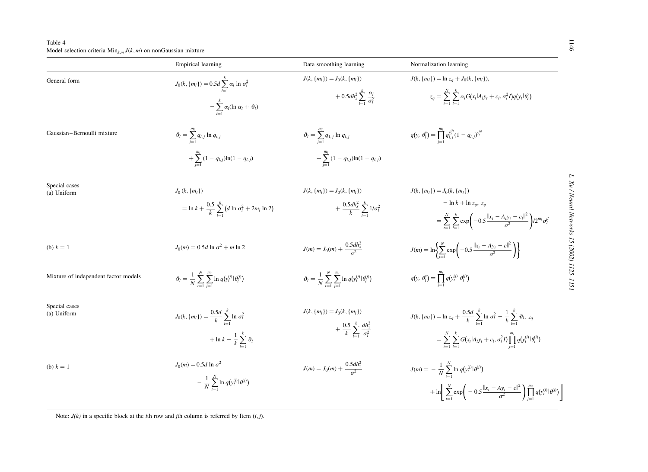<span id="page-21-0"></span>Table 4 Model selection criteria  $\text{Min}_{k,m} J(k,m)$  on nonGaussian mixture

|                                      | <b>Empirical learning</b>                                                                                                  | Data smoothing learning                                                                                   | Normalization learning                                                                                                                                                                                                                           |
|--------------------------------------|----------------------------------------------------------------------------------------------------------------------------|-----------------------------------------------------------------------------------------------------------|--------------------------------------------------------------------------------------------------------------------------------------------------------------------------------------------------------------------------------------------------|
| General form                         | $J_0(k, \{m_l\}) = 0.5d \sum_{l=1}^{k} \alpha_l \ln \sigma_l^2$<br>$-\sum_{i=1}^{k} \alpha_i (\ln \alpha_i + \vartheta_i)$ | $J(k, \{m_l\}) = J_0(k, \{m_l\})$<br>+ 0.5dh <sub>x</sub> $\sum_{i=1}^{k} \frac{\alpha_i}{\sigma_i^2}$    | $J(k, \{m_l\}) = \ln z_q + J_0(k, \{m_l\}),$<br>$z_q = \sum_{i=1}^{N} \sum_{i=1}^{k} \alpha_i G(x_i   A_i y_i + c_i, \sigma_i^2 I) q(y_i   \theta_i^y)$                                                                                          |
| Gaussian-Bernoulli mixture           | $\vartheta_l = \sum_{i=1}^{m_l} q_{l,j} \ln q_{l,j}$<br>+ $\sum_{l=1}^{m} (1 - q_{l,j}) \ln(1 - q_{l,j})$                  | $\vartheta_l = \sum_{i=1}^{m_l} q_{1,j} \ln q_{l,j}$<br>+ $\sum_{l=1}^{m} (1 - q_{l,j}) \ln(1 - q_{l,j})$ | $q(y_t \theta_l^y) = \prod_{i=1}^{m_l} q_{l,j}^{y_l^{(j)}} (1 - q_{l,j})^{y_l^{(j)}}$                                                                                                                                                            |
| Special cases<br>(a) Uniform         | $J_0(k, \{m_l\})$<br>$= \ln k + \frac{0.5}{k} \sum_{i=1}^{k} (d \ln \sigma_i^2 + 2m_l \ln 2)$                              | $J(k, \{m_l\}) = J_0(k, \{m_l\})$<br>$+\frac{0.5dh_x^2}{k}\sum_{i=1}^k 1/\sigma_i^2$                      | $J(k, \{m_l\}) = J_0(k, \{m_l\})$<br>$-\ln k + \ln z_a$ , $z_a$<br>$= \sum_{l=1}^{N} \sum_{i=1}^{k} \exp \left(-0.5 \frac{\ x_t - A_l y_t - c_l\ ^2}{\sigma^2}\right) / 2^{m_l} \sigma_l^d$                                                      |
| (b) $k = 1$                          | $J_0(m) = 0.5d \ln \sigma^2 + m \ln 2$                                                                                     | $J(m) = J_0(m) + \frac{0.5dh_x^2}{2}$                                                                     | $J(m) = \ln \left\{ \sum_{r=1}^{N} \exp \left( -0.5 \frac{\ x_t - Ay_t - c\ ^2}{\sigma^2} \right) \right\}$                                                                                                                                      |
| Mixture of independent factor models | $\vartheta_l = \frac{1}{N} \sum_{i=1}^{N} \sum_{i=1}^{m_l} \ln q(y_l^{(j)}   \theta_l^{(j)})$                              | $\vartheta_l = \frac{1}{N} \sum_{i=1}^{N} \sum_{i=1}^{m_l} \ln q(y_l^{(j)}   \theta_l^{(j)})$             | $q(y_t \theta_l^y) = \prod_{i=1}^{m_l} q(y_t^{(j)} \theta_l^{(j)})$                                                                                                                                                                              |
| Special cases<br>(a) Uniform         | $J_0(k, \{m_l\}) = \frac{0.5d}{k} \sum_{l=1}^{k} \ln \sigma_l^2$<br>$+\ln k - \frac{1}{k} \sum_{i=1}^{k} \vartheta_i$      | $J(k, \{m_l\}) = J_0(k, \{m_l\})$<br>$+\frac{0.5}{k}\sum_{ }^{\kappa}\frac{dh_{x}^{2}}{a^{2}}$            | $J(k, \{m_l\}) = \ln z_q + \frac{0.5d}{k} \sum_{i=1}^{k} \ln \sigma_l^2 - \frac{1}{k} \sum_{i=1}^{k} \vartheta_l, z_q$<br>$= \sum_{i=1}^{N} \sum_{i=1}^{k} G(x_i   A_i y_i + c_i, \sigma_i^2 I) \prod_{i=1}^{m_i} q(y_i^{(j)}   \theta_i^{(j)})$ |
| (b) $k = 1$                          | $J_0(m) = 0.5d \ln \sigma^2$<br>$-\frac{1}{N}\sum_{i=1}^{N}\ln q(y_i^{(j)} \theta^{(j)})$                                  | $J(m) = J_0(m) + \frac{0.5dh_x^2}{a^2}$                                                                   | $J(m) = -\frac{1}{N} \sum_{i=1}^{N} \ln q(y_i^{(j)}   \theta^{(j)})$<br>$+\ln \left[ \sum_{i=1}^{N} \exp \left( -0.5 \frac{\Vert x_t - Ay_t - c \Vert^2}{\sigma^2} \right) \prod_{i=1}^{m_i} q(y_i^{(j)}   \theta^{(j)}) \right]$                |

 $1146$ 

Note:  $J(k)$  in a specific block at the *i*th row and *j*th column is referred by Item  $(i, j)$ .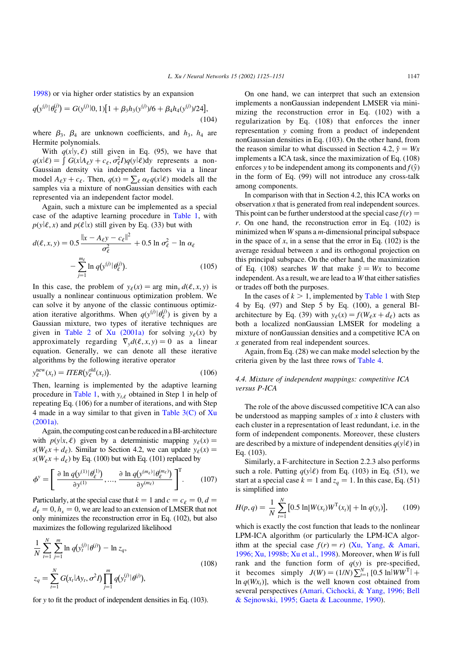[1998](#page-26-0)) or via higher order statistics by an expansion

$$
q(y^{(j)}|\theta_{\ell}^{(j)}) = G(y^{(j)}|0,1)[1 + \beta_3 h_3(y^{(j)})/6 + \beta_4 h_4(y^{(j)})/24],
$$
\n(104)

where  $\beta_3$ ,  $\beta_4$  are unknown coefficients, and  $h_3$ ,  $h_4$  are Hermite polynomials.

With  $q(x|y, \ell)$  still given in Eq. (95), we have that  $q(x|\ell) = \int G(x|A_{\ell}y + c_{\ell}, \sigma_{\ell}^2 I)q(y|\ell)dy$  represents a non-Gaussian density via independent factors via a linear model  $A_{\ell}y + c_{\ell}$ . Then,  $q(x) = \sum_{\ell} \alpha_{\ell} q(x|\ell)$  models all the samples via a mixture of nonGaussian densities with each represented via an independent factor model.

Again, such a mixture can be implemented as a special case of the adaptive learning procedure in [Table 1](#page-8-0), with  $p(y|\ell, x)$  and  $p(\ell|x)$  still given by Eq. (33) but with

$$
d(\ell, x, y) = 0.5 \frac{\|x - A_{\ell}y - c_{\ell}\|^2}{\sigma_{\ell}^2} + 0.5 \ln \sigma_{\ell}^2 - \ln \alpha_{\ell}
$$

$$
- \sum_{j=1}^{m_{\ell}} \ln q(y^{(j)} | \theta_{\ell}^{(j)}).
$$
(105)

In this case, the problem of  $y_{\ell}(x) = \arg \min_{y} d(\ell, x, y)$  is usually a nonlinear continuous optimization problem. We can solve it by anyone of the classic continuous optimization iterative algorithms. When  $q(y^{(j)}|\theta_\ell^{(j)})$  is given by a Gaussian mixture, two types of iterative techniques are given in [Table 2](#page-9-0) of [Xu \(2001a\)](#page-26-0) for solving  $y_{\ell}(x)$  by approximately regarding  $\nabla_{y}d(\ell, x, y) = 0$  as a linear equation. Generally, we can denote all these iterative algorithms by the following iterative operator

$$
y_{\ell}^{\text{new}}(x_t) = ITER(y_{\ell}^{\text{old}}(x_t)).
$$
\n(106)

Then, learning is implemented by the adaptive learning procedure in [Table 1](#page-8-0), with  $y_{t,\ell}$  obtained in Step 1 in help of repeating Eq. (106) for a number of iterations, and with Step 4 made in a way similar to that given in Table  $3(C)$  of [Xu](#page-26-0) [\(2001a\).](#page-26-0)

Again, the computing cost can be reduced in a BI-architecture with  $p(y|x, \ell)$  given by a deterministic mapping  $y_\ell(x) =$  $s(W_{\ell}x + d_{\ell})$ . Similar to Section 4.2, we can update  $y_{\ell}(x) =$  $s(W_{\ell}x + d_{\ell})$  by Eq. (100) but with Eq. (101) replaced by

$$
\phi^{\mathbf{y}} = \left[ \frac{\partial \ln q(\mathbf{y}^{(1)} | \theta_{\ell}^{(1)})}{\partial \mathbf{y}^{(1)}}, \dots, \frac{\partial \ln q(\mathbf{y}^{(m_{\ell})} | \theta_{\ell}^{(m_{\ell})})}{\partial \mathbf{y}^{(m_{\ell})}} \right]^{T}.
$$
 (107)

Particularly, at the special case that  $k = 1$  and  $c = c_{\ell} = 0, d =$  $d_{\ell} = 0, h_{\rm r} = 0$ , we are lead to an extension of LMSER that not only minimizes the reconstruction error in Eq. (102), but also maximizes the following regularized likelihood

$$
\frac{1}{N} \sum_{t=1}^{N} \sum_{j=1}^{m} \ln q(y_t^{(j)} | \theta^{(j)}) - \ln z_q,
$$
\n
$$
z_q = \sum_{t=1}^{N} G(x_t | Ay_t, \sigma^2 I) \prod_{j=1}^{m} q(y_t^{(j)} | \theta^{(j)}),
$$
\n(108)

for y to fit the product of independent densities in Eq. (103).

On one hand, we can interpret that such an extension implements a nonGaussian independent LMSER via minimizing the reconstruction error in Eq. (102) with a regularization by Eq. (108) that enforces the inner representation y coming from a product of independent nonGaussian densities in Eq. (103). On the other hand, from the reason similar to what discussed in Section 4.2,  $\hat{y} = Wx$ implements a ICA task, since the maximization of Eq. (108) enforces y to be independent among its components and  $f(\hat{y})$ in the form of Eq. (99) will not introduce any cross-talk among components.

In comparison with that in Section 4.2, this ICA works on observation x that is generated from real independent sources. This point can be further understood at the special case  $f(r) =$  $r$ . On one hand, the reconstruction error in Eq. (102) is minimized when  $W$  spans a  $m$ -dimensional principal subspace in the space of x, in a sense that the error in Eq.  $(102)$  is the average residual between  $x$  and its orthogonal projection on this principal subspace. On the other hand, the maximization of Eq. (108) searches W that make  $\hat{y} = Wx$  to become independent. As a result, we are lead to a W that either satisfies or trades off both the purposes.

In the cases of  $k > 1$ , implemented by [Table 1](#page-8-0) with Step 4 by Eq. (97) and Step 5 by Eq. (100), a general BIarchitecture by Eq. (39) with  $y_{\ell}(x) = f(W_{\ell}x + d_{\ell})$  acts as both a localized nonGaussian LMSER for modeling a mixture of nonGaussian densities and a competitive ICA on x generated from real independent sources.

Again, from Eq. (28) we can make model selection by the criteria given by the last three rows of [Table 4.](#page-21-0)

## 4.4. Mixture of independent mappings: competitive ICA versus P-ICA

The role of the above discussed competitive ICA can also be understood as mapping samples of  $x$  into  $k$  clusters with each cluster in a representation of least redundant, i.e. in the form of independent components. Moreover, these clusters are described by a mixture of independent densities  $q(y|\ell)$  in Eq. (103).

Similarly, a F-architecture in Section 2.2.3 also performs such a role. Putting  $q(y|\ell)$  from Eq. (103) in Eq. (51), we start at a special case  $k = 1$  and  $z_q = 1$ . In this case, Eq. (51) is simplified into

$$
H(p,q) = \frac{1}{N} \sum_{t=1}^{N} [0.5 \ln |W(x_t)W^{T}(x_t)| + \ln q(y_t)], \qquad (109)
$$

which is exactly the cost function that leads to the nonlinear LPM-ICA algorithm (or particularly the LPM-ICA algorithm at the special case  $f(r) = r$ ) ([Xu, Yang, & Amari,](#page-26-0) [1996; Xu, 1998b; Xu et al., 1998](#page-26-0)). Moreover, when W is full rank and the function form of  $q(y)$  is pre-specified, it becomes simply  $J(W) = (1/N) \sum_{i=1}^{N} [0.5 \ln|WW^T| +$  $\ln q(Wx_t)$ , which is the well known cost obtained from several perspectives [\(Amari, Cichocki, & Yang, 1996; Bell](#page-26-0) [& Sejnowski, 1995; Gaeta & Lacounme, 1990](#page-26-0)).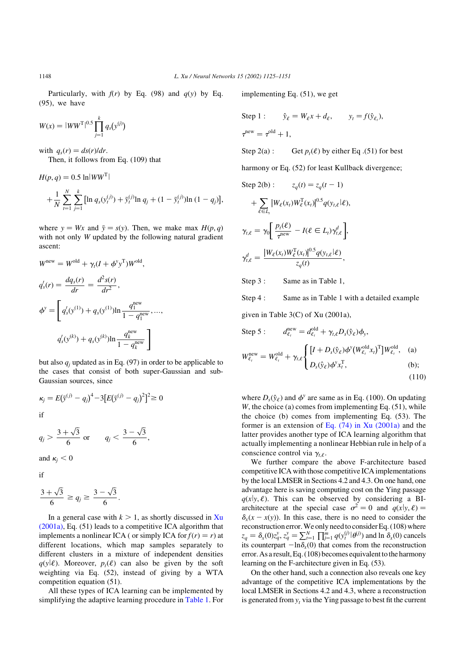Particularly, with  $f(r)$  by Eq. (98) and  $q(y)$  by Eq. (95), we have

$$
W(x) = |WW^{\mathrm{T}}|^{0.5} \prod_{j=1}^{k} q_s(y^{(j)})
$$

with  $q_s(r) = ds(r)/dr$ . Then, it follows from Eq. (109) that

$$
H(p,q) = 0.5 \ln|WW^{\mathrm{T}}|
$$
  
+  $\frac{1}{N} \sum_{t=1}^{N} \sum_{j=1}^{k} [\ln q_s(y_t^{(j)}) + \bar{y}_t^{(j)} \ln q_j + (1 - \bar{y}_t^{(j)}) \ln (1 - q_j)],$ 

where  $y = Wx$  and  $\bar{y} = s(y)$ . Then, we make max  $H(p, q)$ with not only *W* updated by the following natural gradient ascent:

$$
W^{\text{new}} = W^{\text{old}} + \gamma_t (I + \phi^y y^{\text{T}}) W^{\text{old}},
$$
  
\n
$$
q_s'(r) = \frac{dq_s(r)}{dr} = \frac{d^2 s(r)}{dr^2},
$$
  
\n
$$
\phi^y = \left[ q_s'(y^{(1)}) + q_s(y^{(1)}) \ln \frac{q_1^{\text{new}}}{1 - q_1^{\text{new}}}, ..., \frac{q_s'(y^{(k)})}{1 - q_k^{\text{new}}}\right]
$$

but also  $q_i$  updated as in Eq. (97) in order to be applicable to the cases that consist of both super-Gaussian and sub-Gaussian sources, since

$$
\kappa_j = E(\bar{y}^{(j)} - q_j)^4 - 3[E(\bar{y}^{(j)} - q_j)^2]^2 \ge 0
$$
if

$$
q_j > \frac{3+\sqrt{3}}{6}
$$
 or  $q_j < \frac{3-\sqrt{3}}{6}$ ,

and  $\kappa_i < 0$ 

if

$$
\frac{3+\sqrt{3}}{6} \ge q_j \ge \frac{3-\sqrt{3}}{6}.
$$

In a general case with  $k > 1$ , as shortly discussed in [Xu](#page-26-0) [\(2001a\),](#page-26-0) Eq. (51) leads to a competitive ICA algorithm that implements a nonlinear ICA ( or simply ICA for  $f(r) = r$ ) at different locations, which map samples separately to different clusters in a mixture of independent densities  $q(y|\ell)$ . Moreover,  $p_t(\ell)$  can also be given by the soft weighting via Eq. (52), instead of giving by a WTA competition equation (51).

All these types of ICA learning can be implemented by simplifying the adaptive learning procedure in [Table 1.](#page-8-0) For implementing Eq. (51), we get

Step 1: 
$$
\hat{y}_\ell = W_\ell x + d_\ell, \qquad y_t = f(\hat{y}_{\ell_t}),
$$
  
\n $\tau^{\text{new}} = \tau^{\text{old}} + 1,$   
\nStep 2(a): Get  $p_t(\ell)$  by either Eq. (51) for best

harmony or Eq.  $(52)$  for least Kullback divergence;

Step 2(b): 
$$
z_q(t) = z_q(t - 1)
$$

$$
+ \sum_{\ell \in L_t} |W_{\ell}(x_t)W_{\ell}^{\mathrm{T}}(x_t)|^{0.5}q(y_{t,\ell}|\ell),
$$

$$
\gamma_{t,\ell} = \gamma_0 \left[ \frac{p_t(\ell)}{\tau^{\mathrm{new}}} - I(\ell \in L_t)\gamma_{t,\ell}^d \right],
$$

$$
\gamma_{t,\ell}^d = \frac{|W_{\ell}(x_t)W_{\ell}^{\mathrm{T}}(x_t)|^{0.5}q(y_{t,\ell}|\ell)}{z_q(t)},
$$

Step 3 : Same as in Table 1,

Step 4 : Same as in Table 1 with a detailed example

given in Table  $3(C)$  of Xu (2001a),

Step 5: 
$$
d_{\ell_t}^{\text{new}} = d_{\ell_t}^{\text{old}} + \gamma_{t,\ell} D_s(\hat{y}_{\ell}) \phi_y,
$$

$$
W_{\ell_t}^{\text{new}} = W_{\ell_t}^{\text{old}} + \gamma_{t,\ell} \begin{cases} \n[I + D_s(\hat{y}_{\ell}) \phi^y (W_{\ell_t}^{\text{old}} x_t)^T \big] W_{\ell_t}^{\text{old}}, & \text{(a)}\\ \nD_s(\hat{y}_{\ell}) \phi^y x_t^T, & \text{(b)}; \n\end{cases}
$$
\n(110)

where  $D_s(\hat{y}_e)$  and  $\phi^y$  are same as in Eq. (100). On updating W, the choice (a) comes from implementing Eq. (51), while the choice (b) comes from implementing Eq. (53). The former is an extension of Eq.  $(74)$  in Xu  $(2001a)$  and the latter provides another type of ICA learning algorithm that actually implementing a nonlinear Hebbian rule in help of a conscience control via  $\gamma_{t,\ell}$ .

We further compare the above F-architecture based competitive ICA with those competitive ICA implementations by the local LMSER in Sections 4.2 and 4.3. On one hand, one advantage here is saving computing cost on the Ying passage  $q(x|y, \ell)$ . This can be observed by considering a BIarchitecture at the special case  $\sigma^2 = 0$  and  $q(x|y, \ell) =$  $\delta_x(x - x(y))$ . In this case, there is no need to consider the reconstruction error. We only need to consider Eq. (108) where  $z_q = \delta_x(0)z_q^j$ ,  $z_q^v = \sum_{t=1}^{N} \prod_{j=1}^{m} q(y_t^{(j)} | \theta^{(j)})$  and  $\ln \delta_x(0)$  cancels its counterpart  $-\ln \delta_{x}(0)$  that comes from the reconstruction error. As a result, Eq. (108) becomes equivalent to the harmony learning on the F-architecture given in Eq. (53).

On the other hand, such a connection also reveals one key advantage of the competitive ICA implementations by the local LMSER in Sections 4.2 and 4.3, where a reconstruction is generated from  $y_t$  via the Ying passage to best fit the current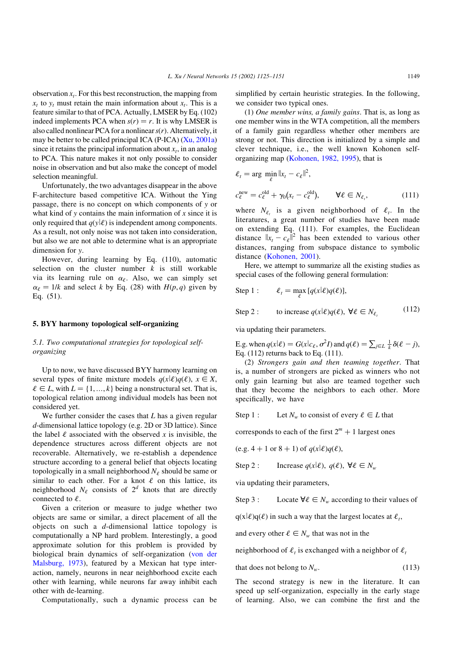observation  $x_t$ . For this best reconstruction, the mapping from  $x_t$  to  $y_t$  must retain the main information about  $x_t$ . This is a feature similar to that of PCA. Actually, LMSER by Eq. (102) indeed implements PCA when  $s(r) = r$ . It is why LMSER is also called nonlinear PCA for a nonlinear  $s(r)$ . Alternatively, it may be better to be called principal ICA (P-ICA)  $(X<sub>u</sub>, 2001a)$ since it retains the principal information about  $x_t$ , in an analog to PCA. This nature makes it not only possible to consider noise in observation and but also make the concept of model selection meaningful.

Unfortunately, the two advantages disappear in the above F-architecture based competitive ICA. Without the Ying passage, there is no concept on which components of y or what kind of y contains the main information of  $x$  since it is only required that  $q(y|\ell)$  is independent among components. As a result, not only noise was not taken into consideration, but also we are not able to determine what is an appropriate dimension for y.

However, during learning by Eq. (110), automatic selection on the cluster number  $k$  is still workable via its learning rule on  $\alpha_{\ell}$ . Also, we can simply set  $\alpha_{\ell} = 1/k$  and select k by Eq. (28) with  $H(p, q)$  given by Eq. (51).

## 5. BYY harmony topological self-organizing

# 5.1. Two computational strategies for topological selforganizing

Up to now, we have discussed BYY harmony learning on several types of finite mixture models  $q(x|\ell)q(\ell), x \in X$ ,  $\ell \in L$ , with  $L = \{1, ..., k\}$  being a nonstructural set. That is, topological relation among individual models has been not considered yet.

We further consider the cases that  $L$  has a given regular d-dimensional lattice topology (e.g. 2D or 3D lattice). Since the label  $\ell$  associated with the observed x is invisible, the dependence structures across different objects are not recoverable. Alternatively, we re-establish a dependence structure according to a general belief that objects locating topologically in a small neighborhood  $N_{\ell}$  should be same or similar to each other. For a knot  $\ell$  on this lattice, its neighborhood  $N_e$  consists of  $2^d$  knots that are directly connected to  $\ell$ .

Given a criterion or measure to judge whether two objects are same or similar, a direct placement of all the objects on such a d-dimensional lattice topology is computationally a NP hard problem. Interestingly, a good approximate solution for this problem is provided by biological brain dynamics of self-organization [\(von der](#page-26-0) [Malsburg, 1973](#page-26-0)), featured by a Mexican hat type interaction, namely, neurons in near neighborhood excite each other with learning, while neurons far away inhibit each other with de-learning.

Computationally, such a dynamic process can be

simplified by certain heuristic strategies. In the following, we consider two typical ones.

(1) One member wins, a family gains. That is, as long as one member wins in the WTA competition, all the members of a family gain regardless whether other members are strong or not. This direction is initialized by a simple and clever technique, i.e., the well known Kohonen selforganizing map ([Kohonen, 1982, 1995](#page-26-0)), that is

$$
\ell_t = \arg \min_{\ell} ||x_t - c_{\ell}||^2,
$$
  
\n
$$
c_{\ell}^{\text{new}} = c_{\ell}^{\text{old}} + \gamma_0 (x_t - c_{\ell}^{\text{old}}), \qquad \forall \ell \in N_{\ell},
$$
\n(111)

where  $N_{\ell_t}$  is a given neighborhood of  $\ell_t$ . In the literatures, a great number of studies have been made on extending Eq. (111). For examples, the Euclidean distance  $||x_t - c_\ell||^2$  has been extended to various other distances, ranging from subspace distance to symbolic distance [\(Kohonen, 2001](#page-26-0)).

Here, we attempt to summarize all the existing studies as special cases of the following general formulation:

Step 1: 
$$
\ell_t = \max_{\ell} [q(x|\ell)q(\ell)],
$$

Step 2: to increase 
$$
q(x|\ell)q(\ell)
$$
,  $\forall \ell \in N_{\ell_1}$  (112)

via updating their parameters:

E.g. when  $q(x|\ell) = G(x|_{\mathcal{C}_{\ell}}, \sigma^2 I)$  and  $q(\ell) = \sum_{j \in L} \frac{1}{k} \delta(\ell - j)$ , Eq. (112) returns back to Eq. (111).

(2) Strongers gain and then teaming together. That is, a number of strongers are picked as winners who not only gain learning but also are teamed together such that they become the neighbors to each other. More specifically, we have

Step 1 : Let  $N_w$  to consist of every  $\ell \in L$  that

corresponds to each of the first  $2^m + 1$  largest ones

(e.g.  $4 + 1$  or  $8 + 1$ ) of  $q(x|\ell)q(\ell)$ ,

Step 2 : Increase  $q(x|\ell), q(\ell), \forall \ell \in N_w$ 

via updating their parameters;

Step 3 : Locate  $\forall \ell \in N_w$  according to their values of

 $q(x|\ell)q(\ell)$  in such a way that the largest locates at  $\ell_t$ ,

and every other  $\ell \in N_w$  that was not in the

neighborhood of  $\ell_t$  is exchanged with a neighbor of  $\ell_t$ 

that does not belong to 
$$
N_w
$$
. (113)

The second strategy is new in the literature. It can speed up self-organization, especially in the early stage of learning. Also, we can combine the first and the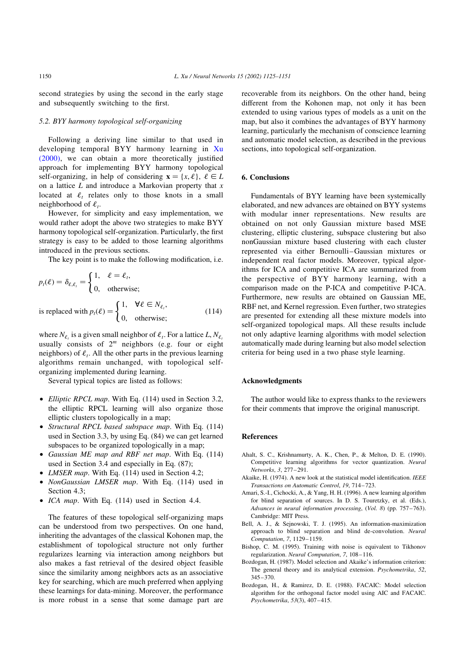<span id="page-25-0"></span>second strategies by using the second in the early stage and subsequently switching to the first.

# 5.2. BYY harmony topological self-organizing

Following a deriving line similar to that used in developing temporal BYY harmony learning in [Xu](#page-26-0) [\(2000\)](#page-26-0), we can obtain a more theoretically justified approach for implementing BYY harmony topological self-organizing, in help of considering  $\mathbf{x} = \{x, \ell\}, \ell \in L$ on a lattice  $L$  and introduce a Markovian property that  $x$ located at  $\ell_t$  relates only to those knots in a small neighborhood of  $\ell_t$ .

However, for simplicity and easy implementation, we would rather adopt the above two strategies to make BYY harmony topological self-organization. Particularly, the first strategy is easy to be added to those learning algorithms introduced in the previous sections.

The key point is to make the following modification, i.e.

$$
p_t(\ell) = \delta_{\ell, \ell_t} = \begin{cases} 1, & \ell = \ell_t, \\ 0, & \text{otherwise}; \end{cases}
$$

is replaced with 
$$
p_t(\ell) = \begin{cases} 1, & \forall \ell \in N_{\ell}, \\ 0, & \text{otherwise}; \end{cases}
$$
 (114)

where  $N_{\ell_t}$  is a given small neighbor of  $\ell_t$ . For a lattice L,  $N_{\ell_t}$ usually consists of  $2^m$  neighbors (e.g. four or eight neighbors) of  $\ell_t$ . All the other parts in the previous learning algorithms remain unchanged, with topological selforganizing implemented during learning.

Several typical topics are listed as follows:

- Elliptic RPCL map. With Eq. (114) used in Section 3.2, the elliptic RPCL learning will also organize those elliptic clusters topologically in a map;
- Structural RPCL based subspace map. With Eq.  $(114)$ used in Section 3.3, by using Eq. (84) we can get learned subspaces to be organized topologically in a map;
- † Gaussian ME map and RBF net map. With Eq. (114) used in Section 3.4 and especially in Eq. (87);
- *LMSER map.* With Eq.  $(114)$  used in Section 4.2;
- † NonGaussian LMSER map. With Eq. (114) used in Section 4.3;
- ICA map. With Eq. (114) used in Section 4.4.

The features of these topological self-organizing maps can be understood from two perspectives. On one hand, inheriting the advantages of the classical Kohonen map, the establishment of topological structure not only further regularizes learning via interaction among neighbors but also makes a fast retrieval of the desired object feasible since the similarity among neighbors acts as an associative key for searching, which are much preferred when applying these learnings for data-mining. Moreover, the performance is more robust in a sense that some damage part are

recoverable from its neighbors. On the other hand, being different from the Kohonen map, not only it has been extended to using various types of models as a unit on the map, but also it combines the advantages of BYY harmony learning, particularly the mechanism of conscience learning and automatic model selection, as described in the previous sections, into topological self-organization.

## 6. Conclusions

Fundamentals of BYY learning have been systemically elaborated, and new advances are obtained on BYY systems with modular inner representations. New results are obtained on not only Gaussian mixture based MSE clustering, elliptic clustering, subspace clustering but also nonGaussian mixture based clustering with each cluster represented via either Bernoulli–Gaussian mixtures or independent real factor models. Moreover, typical algorithms for ICA and competitive ICA are summarized from the perspective of BYY harmony learning, with a comparison made on the P-ICA and competitive P-ICA. Furthermore, new results are obtained on Gaussian ME, RBF net, and Kernel regression. Even further, two strategies are presented for extending all these mixture models into self-organized topological maps. All these results include not only adaptive learning algorithms with model selection automatically made during learning but also model selection criteria for being used in a two phase style learning.

## Acknowledgments

The author would like to express thanks to the reviewers for their comments that improve the original manuscript.

## **References**

- Ahalt, S. C., Krishnamurty, A. K., Chen, P., & Melton, D. E. (1990). Competitive learning algorithms for vector quantization. Neural Networks, 3, 277–291.
- Akaike, H. (1974). A new look at the statistical model identification. IEEE Transactions on Automatic Control, 19, 714–723.
- Amari, S.-I., Cichocki, A., & Yang, H. H. (1996). A new learning algorithm for blind separation of sources. In D. S. Touretzky, et al. (Eds.), Advances in neural information processing, (Vol. 8) (pp. 757–763). Cambridge: MIT Press.
- Bell, A. J., & Sejnowski, T. J. (1995). An information-maximization approach to blind separation and blind de-convolution. Neural Computation, 7, 1129–1159.
- Bishop, C. M. (1995). Training with noise is equivalent to Tikhonov regularization. Neural Computation, 7, 108–116.
- Bozdogan, H. (1987). Model selection and Akaike's information criterion: The general theory and its analytical extension. Psychometrika, 52, 345–370.
- Bozdogan, H., & Ramirez, D. E. (1988). FACAIC: Model selection algorithm for the orthogonal factor model using AIC and FACAIC. Psychometrika, 53(3), 407–415.